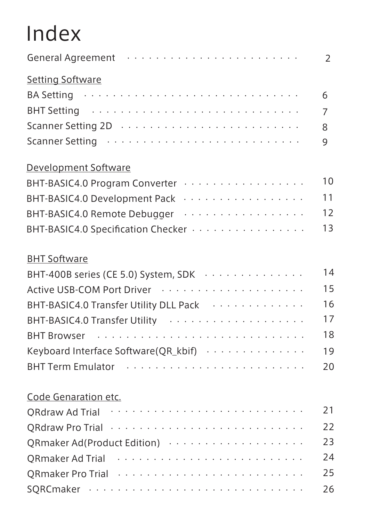# Index

| General Agreement (aller contains a subset of the sensing service services and services are services as a seri  | $\overline{2}$ |
|-----------------------------------------------------------------------------------------------------------------|----------------|
| <b>Setting Software</b>                                                                                         |                |
| BA Setting and a subset of the state of the state of the state of the state of the state of the state of the s  | 6              |
|                                                                                                                 | $\overline{7}$ |
|                                                                                                                 | 8              |
|                                                                                                                 | 9              |
| Development Software                                                                                            |                |
| BHT-BASIC4.0 Program Converter                                                                                  | 10             |
| BHT-BASIC4.0 Development Pack                                                                                   | 11             |
| BHT-BASIC4.0 Remote Debugger                                                                                    | 12             |
| BHT-BASIC4.0 Specification Checker                                                                              | 13             |
| <b>BHT Software</b>                                                                                             |                |
| BHT-400B series (CE 5.0) System, SDK                                                                            | 14             |
|                                                                                                                 | 15             |
| BHT-BASIC4.0 Transfer Utility DLL Pack Theory Assembly BHT-BASIC4.0 Transfer Utility DLL Pack Assembly Assembly | 16             |
|                                                                                                                 | 17             |
|                                                                                                                 | 18             |
| Keyboard Interface Software( $QR_k$ bif) $\cdots$                                                               | 19             |
|                                                                                                                 | 20             |
| Code Genaration etc.                                                                                            |                |
| QRdraw Ad Trial ·····························                                                                   | 21             |
|                                                                                                                 | 22             |
| QRmaker Ad(Product Edition)                                                                                     | 23             |
|                                                                                                                 | 24             |
|                                                                                                                 | 25             |
|                                                                                                                 | 26             |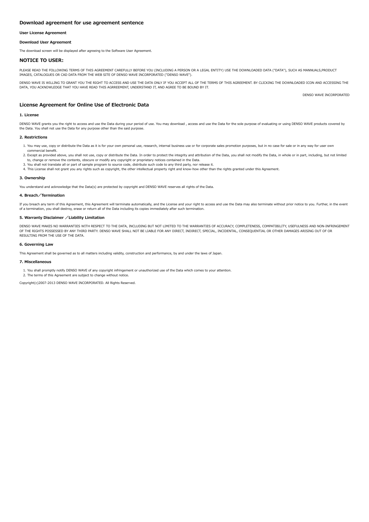## <span id="page-1-0"></span>User License Agreement

## Download User Agreement

The download screen will be displayed after agreeing to the Software User Agreement.

## NOTICE TO USER:

PLEASE READ THE FOLLOWING TERMS OF THIS AGREEMENT CAREFULLY BEFORE YOU (INCLUDING A PERSON OR A LEGAL ENTITY) USE THE DOWNLOADED DATA ("DATA"), SUCH AS MANNUALS,PRODUCT IMAGES, CATALOGUES OR CAD DATA FROM THE WEB SITE OF DENSO WAVE INCORPORATED ("DENSO WAVE").

DENSO WAVE IS WILLING TO GRANT YOU THE RIGHT TO ACCESS AND USE THE DATA ONLY IF YOU ACCEPT ALL OF THE TERMS OF THIS AGREEMENT. BY CLICKING THE DOWNLOADED ICON AND ACCESSING THE DATA, YOU ACKNOWLEDGE THAT YOU HAVE READ THIS AGRREEMENT, UNDERSTAND IT, AND AGREE TO BE BOUND BY IT.

DENSO WAVE INCORPORATED

# License Agreement for Online Use of Electronic Data

## 1. License

DENSO WAVE grants you the right to access and use the Data during your period of use. You may download , access and use the Data for the sole purpose of evaluating or using DENSO WAVE products covered by the Data. You shall not use the Data for any purpose other than the said purpose.

## 2. Restrictions

- 1. You may use, copy or distribute the Data as it is for your own personal use, research, internal business use or for corporate sales promotion purposes, but in no case for sale or in any way for user own commercial benefit.
- 2. Except as provided above, you shall not use, copy or distribute the Data. In order to protect the integrity and attribution of the Data, you shall not modify the Data, in whole or in part, including, but not limited to, change or remove the contents, obscure or modify any copyright or proprietary notices contained in the Data.
- 3. You shall not translate all or part of sample program to source code, distribute such code to any third party, nor release it.
- 4. This License shall not grant you any rights such as copyright, the other intellectual property right and know-how other than the rights granted under this Agreement.

#### 3. Ownership

You understand and acknowledge that the Data(s) are protected by copyright and DENSO WAVE reserves all rights of the Data.

#### 4. Breach/Termination

If you breach any term of this Agreement, this Agreement will terminate automatically, and the License and your right to access and use the Data may also terminate without prior notice to you. Further, in the event of a termination, you shall destroy, erase or return all of the Data including its copies immediately after such termination.

# 5. Warranty Disclaimer /Liability Limitation

DENSO WAVE MAKES NO WARRANTIES WITH RESPECT TO THE DATA, INCLUDING BUT NOT LIMITED TO THE WARRANTIES OF ACCURACY, COMPLETENESS, COMPATIBILITY, USEFULNESS AND NON-INFRINGEMENT OF THE RIGHTS POSSESSED BY ANY THIRD PARTY. DENSO WAVE SHALL NOT BE LIABLE FOR ANY DIRECT, INDIRECT, SPECIAL, INCIDENTAL, CONSEQUENTIAL OR OTHER DAMAGES ARISING OUT OF OR RESULTING FROM THE USE OF THE DATA.

## 6. Governing Law

This Agreement shall be governed as to all matters including validity, construction and performance, by and under the laws of Japan.

#### 7. Miscellaneous

1. You shall promptly notify DENSO WAVE of any copyright infringement or unauthorized use of the Data which comes to your attention.

2. The terms of this Agreement are subject to change without notice.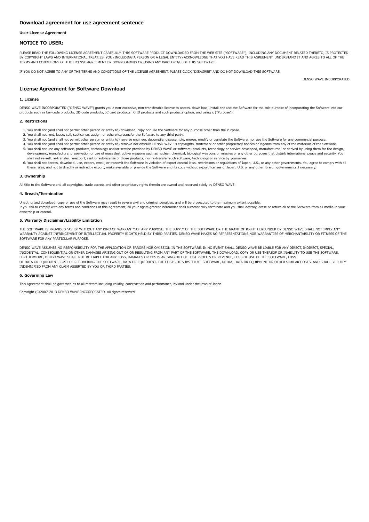## User License Agreement

## NOTICE TO USER:

PLEASE READ THE FOLLOWING LICENSE AGREEMENT CAREFULLY. THIS SOFTWARE PRODUCT DOWNLOADED FROM THE WEB SITE ("SOFTWARE"), INCLUDING ANY DOCUMENT RELATED THERETO, IS PROTECTED BY COPYRIGHT LAWS AND INTERNATIONAL TREATIES. YOU (INCLUDING A PERSON OR A LEGAL ENTITY) ACKNOWLEDGE THAT YOU HAVE READ THIS AGREEMENT, UNDERSTAND IT AND AGREE TO ALL OF THE TERMS AND CONDITIONS OF THE LICENSE AGREEMENT BY DOWNLOADING OR USING ANY PART OR ALL OF THIS SOFTWARE.

IF YOU DO NOT AGREE TO ANY OF THE TERMS AND CONDITIONS OF THE LICENSE AGREEMENT, PLEASE CLICK "DISAGREE" AND DO NOT DOWNLOAD THIS SOFTWARE.

DENSO WAVE INCORPORATED

# License Agreement for Software Download

#### 1. License

DENSO WAVE INCORPORATED ("DENSO WAVE") grants you a non-exclusive, non-transferable license to access, down load, install and use the Software for the sole purpose of incorporating the Software into our products such as bar-code products, 2D-code products, IC card products, RFID products and such products option, and using it ("Purpose").

#### 2. Restrictions

- 1. You shall not (and shall not permit other person or entity to) download, copy nor use the Software for any purpose other than the Purpose.
- 2. You shall not rent, lease, sell, sublicense, assign, or otherwise transfer the Software to any third party.
- 3. You shall not (and shall not permit other person or entity to) reverse engineer, decompile, disassemble, merge, modify or translate the Software, nor use the Software for any commercial purpose.
- 4. You shall not (and shall not permit other person or entity to) remove nor obscure DENSO WAVE' s copyrights, trademark or other proprietary notices or legends from any of the materials of the Software. 5. You shall not use any software, products, technology and/or service provided by DENSO WAVE or software, products, technology or service developed, manufactured, or derived by using them for the design, development, manufacture, preservation or use of mass destructive weapons such as nuclear, chemical, biological weapons or missiles or any other purposes that disturb international peace and security. You shall not re-sell, re-transfer, re-export, rent or sub-license of those products, nor re-transfer such software, technology or service by yourselves.
- 6. You shall not access, download, use, export, email, or transmit the Software in violation of export control laws, restrictions or regulations of Japan, U.S., or any other governments. You agree to comply with all these rules, and not to directly or indirectly export, make available or provide the Software and its copy without export licenses of Japan, U.S. or any other foreign governments if necessary.

## 3. Ownership

All title to the Software and all copyrights, trade secrets and other proprietary rights therein are owned and reserved solely by DENSO WAVE .

#### 4. Breach/Termination

Unauthorized download, copy or use of the Software may result in severe civil and criminal penalties, and will be prosecuted to the maximum extent possible. If you fail to comply with any terms and conditions of this Agreement, all your rights granted hereunder shall automatically terminate and you shall destroy, erase or return all of the Software from all media in your ownership or control.

## 5. Warranty Disclaimer/Liability Limitation

THE SOFTWARE IS PROVIDED "AS IS" WITHOUT ANY KIND OF WARRANTY OF ANY PURPOSE. THE SUPPLY OF THE SOFTWARE OR THE GRANT OF RIGHT HEREUNDER BY DENSO WAVE SHALL NOT IMPLY ANY WARRANTY AGAINST INFRINGEMENT OF INTELLECTUAL PROPERTY RIGHTS HELD BY THIRD PARTIES. DENSO WAVE MAKES NO REPRESENTATIONS NOR WARRANTIES OF MERCHANTABILITY OR FITNESS OF THE SOFTWARE FOR ANY PARTICULAR PURPOSE.

DENSO WAVE ASSUMES NO RESPONSIBILITY FOR THE APPLICATION OF, ERRORS NOR OMISSION IN THE SOFTWARE. IN NO EVENT SHALL DENSO WAVE BE LIABLE FOR ANY DIRECT, INDIRECT, SPECIAL, INCIDENTAL, CONSEQUENTIAL OR OTHER DAMAGES ARISING OUT OF OR RESULTING FROM ANY PART OF THE SOFTWARE, THE DOWNLOAD, COPY OR USE THEREOF OR INABILITY TO USE THE SOFTWARE,<br>FURTHERMORE, DENSO WAVE SHALL NOT BE LIABLE FOR ANY OF DATA OR EQUIPMENT, COST OF RECOVERING THE SOFTWARE, DATA OR EQUIPMENT, THE COSTS OF SUBSTITUTE SOFTWARE, MEDIA, DATA OR EQUIPMENT OR OTHER SIMILAR COSTS, AND SHALL BE FULLY INDEMNIFIED FROM ANY CLAIM ASSERTED BY YOU OR THIRD PARTIES.

#### 6. Governing Law

This Agreement shall be governed as to all matters including validity, construction and performance, by and under the laws of Japan.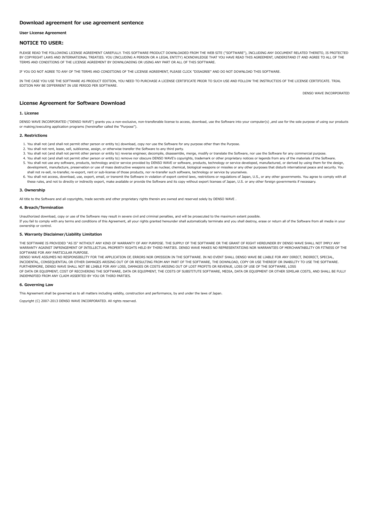#### User License Agreement

## NOTICE TO USER:

PLEASE READ THE FOLLOWING LICENSE AGREEMENT CAREFULLY. THIS SOFTWARE PRODUCT DOWNLOADED FROM THE WEB SITE ("SOFTWARE"), INCLUDING ANY DOCUMENT RELATED THERETO, IS PROTECTED BY COPYRIGHT LAWS AND INTERNATIONAL TREATIES. YOU (INCLUDING A PERSON OR A LEGAL ENTITY) ACKNOWLEDGE THAT YOU HAVE READ THIS AGREEMENT, UNDERSTAND IT AND AGREE TO ALL OF THE TERMS AND CONDITIONS OF THE LICENSE AGREEMENT BY DOWNLOADING OR USING ANY PART OR ALL OF THIS SOFTWARE.

IF YOU DO NOT AGREE TO ANY OF THE TERMS AND CONDITIONS OF THE LICENSE AGREEMENT, PLEASE CLICK "DISAGREE" AND DO NOT DOWNLOAD THIS SOFTWARE.

IN THE CASE YOU USE THE SOFTWARE AS PRODUCT EDITION, YOU NEED TO PURCHASE A LICENSE CERTIFICATE PRIOR TO SUCH USE AND FOLLOW THE INSTRUCTIOS OF THE LICENSE CERTIFICATE. TRIAL EDITION MAY BE DIFFERRENT IN USE PERIOD PER SOFTWARE.

License Agreement for Software Download

#### 1. License

DENSO WAVE INCORPORATED ("DENSO WAVE") grants you a non-exclusive, non-transferable license to access, download, use the Software into your computer(s) ,and use for the sole purpose of using our products or making/executing application programs (hereinafter called the "Purpose").

#### 2. Restrictions

- 1. You shall not (and shall not permit other person or entity to) download, copy nor use the Software for any purpose other than the Purpose.
- 2. You shall not rent, lease, sell, sublicense, assign, or otherwise transfer the Software to any third party.
- 3. You shall not (and shall not permit other person or entity to) reverse engineer, decompile, disassemble, merge, modify or translate the Software, nor use the Software for any commercial purpose.
- 4. You shall not (and shall not permit other person or entity to) remove nor obscure DENSO WAVE's copyrights, trademark or other proprietary notices or legends from any of the materials of the Software. 5. You shall not use any software, products, technology and/or service provided by DENSO WAVE or software, products, technology or service developed, manufactured, or derived by using them for the design, development, manufacture, preservation or use of mass destructive weapons such as nuclear, chemical, biological weapons or missiles or any other purposes that disturb international peace and security. You shall not re-sell, re-transfer, re-export, rent or sub-license of those products, nor re-transfer such software, technology or service by yourselves.
- 6. You shall not access, download, use, export, email, or transmit the Software in violation of export control laws, restrictions or regulations of Japan, U.S., or any other governments. You agree to comply with all these rules, and not to directly or indirectly export, make available or provide the Software and its copy without export licenses of Japan, U.S. or any other foreign governments if necessary.

#### 3. Ownership

All title to the Software and all copyrights, trade secrets and other proprietary rights therein are owned and reserved solely by DENSO WAVE .

#### 4. Breach/Termination

Unauthorized download, copy or use of the Software may result in severe civil and criminal penalties, and will be prosecuted to the maximum extent possible. If you fail to comply with any terms and conditions of this Agreement, all your rights granted hereunder shall automatically terminate and you shall destroy, erase or return all of the Software from all media in your ownership or control.

## 5. Warranty Disclaimer/Liability Limitation

THE SOFTWARE IS PROVIDED "AS IS" WITHOUT ANY KIND OF WARRANTY OF ANY PURPOSE. THE SUPPLY OF THE SOFTWARE OR THE GRANT OF RIGHT HEREUNDER BY DENSO WAVE SHALL NOT IMPLY ANY WARRANTY AGAINST INFRINGEMENT OF INTELLECTUAL PROPERTY RIGHTS HELD BY THIRD PARTIES. DENSO WAVE MAKES NO REPRESENTATIONS NOR WARRANTIES OF MERCHANTABILITY OR FITNESS OF THE SOFTWARE FOR ANY PARTICULAR PURPOSE.

DENSO WAVE ASSUMES NO RESPONSIBILITY FOR THE APPLICATION OF, ERRORS NOR OMISSION IN THE SOFTWARE. IN NO EVENT SHALL DENSO WAVE BE LIABLE FOR ANY DIRECT, INDIRECT, SPECIAL, INCIDENTAL, CONSEQUENTIAL OR OTHER DAMAGES ARISING OUT OF OR RESULTING FROM ANY PART OF THE SOFTWARE, THE DOWNLOAD, COPY OR USE THEREOF OR INABILITY TO USE THE SOFTWARE,<br>FURTHERMORE, DENSO WAVE SHALL NOT BE LIABLE FOR ANY OF DATA OR EQUIPMENT, COST OF RECOVERING THE SOFTWARE, DATA OR EQUIPMENT, THE COSTS OF SUBSTITUTE SOFTWARE, MEDIA, DATA OR EQUIPMENT OR OTHER SIMILAR COSTS, AND SHALL BE FULLY INDEMNIFIED FROM ANY CLAIM ASSERTED BY YOU OR THIRD PARTIES.

#### 6. Governing Law

This Agreement shall be governed as to all matters including validity, construction and performance, by and under the laws of Japan.

Copyright (C) 2007-2013 DENSO WAVE INCORPORATED. All rights reserved.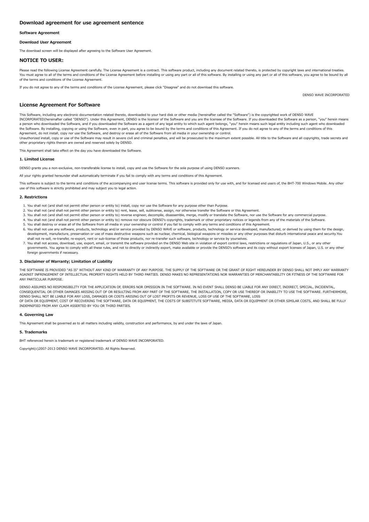#### Software Agreement

#### Download User Agreement

The download screen will be displayed after agreeing to the Software User Agreement.

## NOTICE TO USER:

Please read the following License Agreement carefully. The License Agreement is a contract. This software product, including any document related thereto, is protected by copyright laws and international treaties. You must agree to all of the terms and conditions of the License Agreement before installing or using any part or all of this software. By installing or using any part or all of this software, you agree to be bound by all of the terms and conditions of the License Agreement.

If you do not agree to any of the terms and conditions of the License Agreement, please click "Disagree" and do not download this software.

DENSO WAVE INCORPORATED

## License Agreement For Software

This Software, including any electronic documentation related thereto, downloaded to your hard disk or other media (hereinafter called the "Software") is the copyrighted work of DENSO WAVE INCORPORATED(hereinafter called "DENSO"). Under this Agreement, DENSO is the licensor of the Software and you are the licensee of the Software. If you downloaded the Software as a person, "you" herein means a person who downloaded the Software, and if you downloaded the Software as a agent of any legal entity to which such agent belongs, "you" herein means such legal entity including such agent who downloaded the Software. By installing, copying or using the Software, even in part, you agree to be bound by the terms and conditions of this Agreement. If you do not agree to any of the terms and conditions of this<br>Agreement, do no

Unauthorized install, copy or use of the Software may result in severe civil and criminal penalties, and will be prosecuted to the maximum extent possible. All title to the Software and all copyrights, trade secrets and other proprietary rights therein are owned and reserved solely by DENSO.

This Agreement shall take effect on the day you have downloaded the Software.

### 1. Limited License

DENSO grants you a non-exclusive, non-transferable license to install, copy and use the Software for the sole purpose of using DENSO scanners.

All your rights granted hereunder shall automatically terminate if you fail to comply with any terms and conditions of this Agreement.

This software is subject to the terms and conditions of the accompanying end user license terms. This software is provided only for use with, and for licensed end users of, the BHT-700 Windows Mobile. Any other use of this software is strictly prohibited and may subject you to legal action.

#### 2. Restrictions

- 1. You shall not (and shall not permit other person or entity to) install, copy nor use the Software for any purpose other than Purpose.
- 2. You shall not (and shall not permit other person or entity to) rent, lease, sell, sublicense, assign, nor otherwise transfer the Software or this Agreement.
- 3. You shall not (and shall not permit other person or entity to) reverse engineer, decompile, disassemble, merge, modify or translate the Software, nor use the Software for any commercial purpose.
- 4. You shall not (and shall not permit other person or entity to) remove nor obscure DENSO's copyrights, trademark or other proprietary notices or legends from any of the materials of the Software. 5. You shall destroy or erase all of the Software from all media in your ownership or control if you fail to comply with any terms and conditions of this Agreement.
- 6. You shall not use any software, products, technology and/or service provided by DENSO WAVE or software, products, technology or service developed, manufactured, or derived by using them for the design, development, manufacture, preservation or use of mass destructive weapons such as nuclear, chemical, biological weapons or missiles or any other purposes that disturb international peace and security. You
- shall not re-sell, re-transfer, re-export, rent or sub-license of those products, nor re-transfer such software, technology or service by yourselves. 7. You shall not access, download, use, export, email, or transmit the software provided on the DENSO Web site in violation of export control laws, restrictions or regulations of Japan, U.S., or any other governments. You agree to comply with all these rules, and not to directly or indirectly export, make available or provide the DENSO's software and its copy without export licenses of Japan, U.S. or any other foreign governments if necessary.

#### 3. Disclaimer of Warranty; Limitation of Liability

THE SOFTWARE IS PROVIDED "AS IS" WITHOUT ANY KIND OF WARRANTY OF ANY PURPOSE. THE SUPPLY OF THE SOFTWARE OR THE GRANT OF RIGHT HEREUNDER BY DENSO SHALL NOT IMPLY ANY WARRANTY AGAINST INFRINGEMENT OF INTELLECTUAL PROPERTY RIGHTS HELD BY THIRD PARTIES. DENSO MAKES NO REPRESENTATIONS NOR WARRANTIES OF MERCHANTABILITY OR FITNESS OF THE SOFTWARE FOR ANY PARTICULAR PURPOSE.

DENSO ASSUMES NO RESPONSIBILITY FOR THE APPLICATION OF, ERRORS NOR OMISSION IN THE SOFTWARE. IN NO EVENT SHALL DENSO BE LIABLE FOR ANY DIRECT, INDIRECT, SPECIAL, INCIDENTAL, CONSEQUENTIAL OR OTHER DAMAGES ARISING OUT OF OR RESULTING FROM ANY PART OF THE SOFTWARE, THE INSTALLATION, COPY OR USE THEREOF OR INABILITY TO USE THE SOFTWARE. FURTHERMORE, DENSO SHALL NOT BE LIABLE FOR ANY LOSS, DAMAGES OR COSTS ARISING OUT OF LOST PROFITS OR REVENUE, LOSS OF USE OF THE SOFTWARE, LOSS<br>OF DATA OR EOUIPMENT, COST OF RECOVERING THE SOFTWARE, DATA OR EOUIPMENT. THE COSTS OF SUBS INDEMNIFIED FROM ANY CLAIM ASSERTED BY YOU OR THIRD PARTIES.

#### 4. Governing Law

This Agreement shall be governed as to all matters including validity, construction and performance, by and under the laws of Japan.

## 5. Trademarks

BHT referenced herein is trademark or registered trademark of DENSO WAVE INCORPORATED.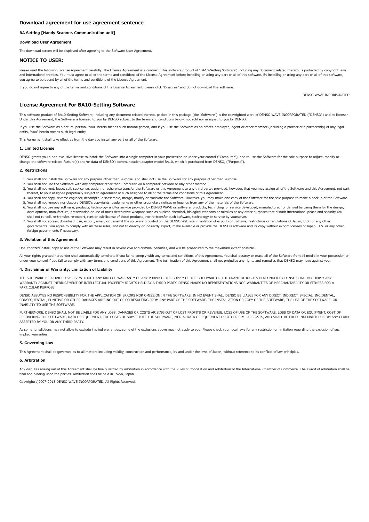## <span id="page-5-0"></span>BA Setting [Handy Scanner, Communication unit]

## Download User Agreement

The download screen will be displayed after agreeing to the Software User Agreement.

# NOTICE TO USER:

Please read the following License Agreement carefully. The License Agreement is a contract. This software product of "BA10-Setting Software", including any document related thereto, is protected by copyright laws and international treaties. You must agree to all of the terms and conditions of the License Agreement before installing or using any part or all of this software. By installing or using any part or all of this software, you agree to be bound by all of the terms and conditions of the License Agreement.

If you do not agree to any of the terms and conditions of the License Agreement, please click "Disagree" and do not download this software.

## License Agreement For BA10-Setting Software

This software product of BA10-Setting Software, including any document related thereto, packed in this package (the "Software") is the copyrighted work of DENSO WAVE INCORPORATED ("DENSO") and its licensor. Under this Agreement, the Software is licensed to you by DENSO subject to the terms and conditions below, not sold nor assigned to you by DENSO.

If you use the Software as a natural person, "you" herein means such natural person, and if you use the Software as an officer, employee, agent or other member (including a partner of a partnership) of any legal entity, "you" herein means such legal entity.

This Agreement shall take effect as from the day you install any part or all of the Software.

#### 1. Limited License

DENSO grants you a non-exclusive license to install the Software into a single computer in your possession or under your control ("Computer"), and to use the Software for the sole purpose to adjust, modify or change the software-related feature(s) and/or data of DENSO's communication adapter model BA10, which is purchased from DENSO, ("Purpose").

#### 2. Restrictions

- 1. You shall not install the Software for any purpose other than Purpose, and shall not use the Software for any purpose other than Purpose.
- 2. You shall not use the Software with any computer other than Computer via a computer network or any other method.
- 3. You shall not rent, lease, sell, sublicense, assign, or otherwise transfer the Software or this Agreement to any third party; provided, however, that you may assign all of the Software and this Agreement, not part thereof, to your assignee perpetually subject to agreement of such assignee to all of the terms and conditions of this Agreement.
- 4. You shall not copy, reverse engineer, decompile, disassemble, merge, modify or translate the Software. However, you may make one copy of the Software for the sole purpose to make a backup of the Software. 5. You shall not remove nor obscure DENSO's copyrights, trademarks or other proprietary notices or legends from any of the materials of the Software.
- 6. You shall not use any software, products, technology and/or service provided by DENSO WAVE or software, products, technology or service developed, manufactured, or derived by using them for the design, development, manufacture, preservation or use of mass destructive weapons such as nuclear, chemical, biological weapons or missiles or any other purposes that disturb international peace and security.You shall not re-sell, re-transfer, re-export, rent or sub-license of those products, nor re-transfer such software, technology or service by yourselves.
- 7. You shall not access, download, use, export, email, or transmit the software provided on the DENSO Web site in violation of export control laws, restrictions or regulations of Japan, U.S., or any other governments. You agree to comply with all these rules, and not to directly or indirectly export, make available or provide the DENSO's software and its copy without export licenses of Japan, U.S. or any other foreign governments if necessary.

## 3. Violation of this Agreement

Unauthorized install, copy or use of the Software may result in severe civil and criminal penalties, and will be prosecuted to the maximum extent possible.

All your rights granted hereunder shall automatically terminate if you fail to comply with any terms and conditions of this Agreement. You shall destroy or erase all of the Software from all media in your possession or under your control if you fail to comply with any terms and conditions of this Agreement. The termination of this Agreement shall not prejudice any rights and remedies that DENSO may have against you.

## 4. Disclaimer of Warranty; Limitation of Liability

THE SOFTWARE IS PROVIDED "AS IS" WITHOUT ANY KIND OF WARRANTY OF ANY PURPOSE. THE SUPPLY OF THE SOFTWARE OR THE GRANT OF RIGHTS HEREUNDER BY DENSO SHALL NOT IMPLY ANY WARRANTY AGAINST INFRINGEMENT OF INTELLECTUAL PROPERTY RIGHTS HELD BY A THIRD PARTY. DENSO MAKES NO REPRESENTATIONS NOR WARRANTIES OF MERCHANTABILITY OR FITNESS FOR A PARTICULAR PURPOSE.

DENSO ASSUMES NO RESPONSIBILITY FOR THE APPLICATION OF, ERRORS NOR OMISSION IN THE SOFTWARE. IN NO EVENT SHALL DENSO BE LIABLE FOR ANY DIRECT, INDIRECT, SPECIAL, INCIDENTAL, CONSEQUENTIAL, PUNITIVE OR OTHER DAMAGES ARISING OUT OF OR RESULTING FROM ANY PART OF THE SOFTWARE, THE INSTALLATION OR COPY OF THE SOFTWARE, THE USE OF THE SOFTWARE, OR INABILITY TO USE THE SOFTWARE.

FURTHERMORE, DENSO SHALL NOT BE LIABLE FOR ANY LOSS, DAMAGES OR COSTS ARISING OUT OF LOST PROFITS OR REVENUE, LOSS OF USE OF THE SOFTWARE, LOSS OF DATA OR EQUIPMENT, COST OF RECOVERING THE SOFTWARE, DATA OR EQUIPMENT, THE COSTS OF SUBSTITUTE THE SOFTWARE, MEDIA, DATA OR EQUIPMENT OR OTHER SIMILAR COSTS, AND SHALL BE FULLY INDEMNIFIED FROM ANY CLAIM ASSERTED BY YOU OR ANY THIRD PARTY.

As some jurisdictions may not allow to exclude implied warranties, some of the exclusions above may not apply to you. Please check your local laws for any restriction or limitation regarding the exclusion of such implied warranties

#### 5. Governing Law

This Agreement shall be governed as to all matters including validity, construction and performance, by and under the laws of Japan, without reference to its conflicts of law principles.

## 6. Arbitration

Any disputes arising out of this Agreement shall be finally settled by arbitration in accordance with the Rules of Conciliation and Arbitration of the International Chamber of Commerce. The award of arbitration shall be final and binding upon the parties. Arbitration shall be held in Tokyo, Japan.

Copyright(c)2007-2013 DENSO WAVE INCORPORATED. All Rights Reserved.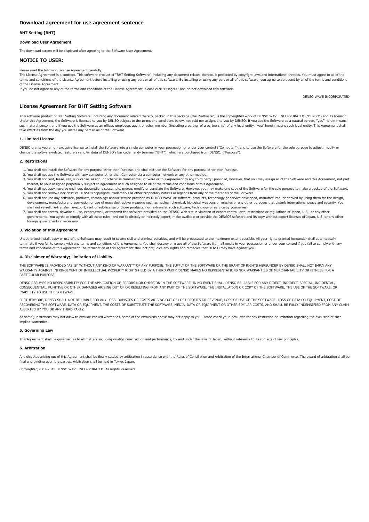## <span id="page-6-0"></span>BHT Setting [BHT]

#### Download User Agreement

The download screen will be displayed after agreeing to the Software User Agreement.

## NOTICE TO USER:

Please read the following License Agreement carefully.

## The License Agreement is a contract. This software product of "BHT Setting Software", including any document related thereto, is protected by copyright laws and international treaties. You must agree to all of the terms and conditions of the License Agreement before installing or using any part or all of this software. By installing or using any part or all of this software, you agree to be bound by all of the terms and conditions of the License Agreement.

If you do not agree to any of the terms and conditions of the License Agreement, please click "Disagree" and do not download this software.

DENSO WAVE INCORPORATED

# License Agreement For BHT Setting Software

This software product of BHT Setting Software, including any document related thereto, packed in this package (the "Software") is the copyrighted work of DENSO WAVE INCORPORATED ("DENSO") and its licensor. Under this Agreement, the Software is licensed to you by DENSO subject to the terms and conditions below, not sold nor assigned to you by DENSO. If you use the Software as a natural person, "you" herein means such natural person, and if you use the Software as an officer, employee, agent or other member (including a partner of a partnership) of any legal entity, "you" herein means such legal entity. This Agreement shall take effect as from the day you install any part or all of the Software.

#### 1. Limited License

DENSO grants you a non-exclusive license to install the Software into a single computer in your possession or under your control ("Computer"), and to use the Software for the sole purpose to adjust, modify or change the software-related feature(s) and/or data of DENSO's bar code handy terminal("BHT"), which are purchased from DENSO, ("Purpose").

## 2. Restrictions

- 1. You shall not install the Software for any purpose other than Purpose, and shall not use the Software for any purpose other than Purpose.
- 2. You shall not use the Software with any computer other than Computer via a computer network or any other method.
- 3. You shall not rent, lease, sell, sublicense, assign, or otherwise transfer the Software or this Agreement to any third party; provided, however, that you may assign all of the Software and this Agreement, not part thereof, to your assignee perpetually subject to agreement of such assignee to all of the terms and conditions of this Agreement.
- 4. You shall not copy, reverse engineer, decompile, disassemble, merge, modify or translate the Software. However, you may make one copy of the Software for the sole purpose to make a backup of the Software. 5. You shall not remove nor obscure DENSO's copyrights, trademarks or other proprietary notices or legends from any of the materials of the Software.
- 6. You shall not use any software, products, technology and/or service provided by DENSO WAVE or software, products, technology or service developed, manufactured, or derived by using them for the design, development, manufacture, preservation or use of mass destructive weapons such as nuclear, chemical, biological weapons or missiles or any other purposes that disturb international peace and security. You shall not re-sell, re-transfer, re-export, rent or sub-license of those products, nor re-transfer such software, technology or service by yourselves.
- 7. You shall not access, download, use, export,email, or transmit the software provided on the DENSO Web site in violation of export control laws, restrictions or regulations of Japan, U.S., or any other governments. You agree to comply with all these rules, and not to directly or indirectly export, make available or provide the DENSO? software and its copy without export licenses of Japan, U.S. or any other foreign governments if necessary.

#### 3. Violation of this Agreement

Unauthorized install, copy or use of the Software may result in severe civil and criminal penalties, and will be prosecuted to the maximum extent possible. All your rights granted hereunder shall automatically terminate if you fail to comply with any terms and conditions of this Agreement. You shall destroy or erase all of the Software from all media in your possession or under your control if you fail to comply with any terms and conditions of this Agreement.The termination of this Agreement shall not prejudice any rights and remedies that DENSO may have against you.

#### 4. Disclaimer of Warranty; Limitation of Liability

THE SOFTWARE IS PROVIDED "AS IS" WITHOUT ANY KIND OF WARRANTY OF ANY PURPOSE. THE SUPPLY OF THE SOFTWARE OR THE GRANT OF RIGHTS HEREUNDER BY DENSO SHALL NOT IMPLY ANY WARRANTY AGAINST INFRINGEMENT OF INTELLECTUAL PROPERTY RIGHTS HELD BY A THIRD PARTY. DENSO MAKES NO REPRESENTATIONS NOR WARRANTIES OF MERCHANTABILITY OR FITNESS FOR A PARTICULAR PURPOSE.

DENSO ASSUMES NO RESPONSIBILITY FOR THE APPLICATION OF, ERRORS NOR OMISSION IN THE SOFTWARE. IN NO EVENT SHALL DENSO BE LIABLE FOR ANY DIRECT, INDIRECT, SPECIAL, INCIDENTAL, CONSEQUENTIAL, PUNITIVE OR OTHER DAMAGES ARISING OUT OF OR RESULTING FROM ANY PART OF THE SOFTWARE, THE INSTALLATION OR COPY OF THE SOFTWARE, THE USE OF THE SOFTWARE, OR INABILITY TO USE THE SOFTWARE.

FURTHERMORE, DENSO SHALL NOT BE LIABLE FOR ANY LOSS, DAMAGES OR COSTS ARISING OUT OF LOST PROFITS OR REVENUE, LOSS OF USE OF THE SOFTWARE, LOSS OF DATA OR EQUIPMENT, COST OF RECOVERING THE SOFTWARE, DATA OR EQUIPMENT, THE COSTS OF SUBSTITUTE THE SOFTWARE, MEDIA, DATA OR EQUIPMENT OR OTHER SIMILAR COSTS, AND SHALL BE FULLY INDEMNIFIED FROM ANY CLAIM ASSERTED BY YOU OR ANY THIRD PARTY.

As some jurisdictions may not allow to exclude implied warranties, some of the exclusions above may not apply to you. Please check your local laws for any restriction or limitation regarding the exclusion of such implied warranties.

## 5. Governing Law

This Agreement shall be governed as to all matters including validity, construction and performance, by and under the laws of Japan, without reference to its conflicts of law principles

# 6. Arbitration

Any disputes arising out of this Agreement shall be finally settled by arbitration in accordance with the Rules of Conciliation and Arbitration of the International Chamber of Commerce. The award of arbitration shall be final and binding upon the parties. Arbitration shall be held in Tokyo, Japan.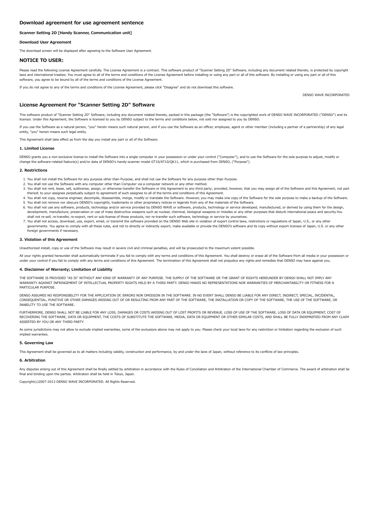## <span id="page-7-0"></span>Scanner Setting 2D [Handy Scanner, Communication unit]

## Download User Agreement

The download screen will be displayed after agreeing to the Software User Agreement.

# NOTICE TO USER:

Please read the following License Agreement carefully. The License Agreement is a contract. This software product of "Scanner Setting 2D" Software, including any document related thereto, is protected by copyright laws and international treaties. You must agree to all of the terms and conditions of the License Agreement before installing or using any part or all of this software. By installing or using any part or all of this software, you agree to be bound by all of the terms and conditions of the License Agreement.

If you do not agree to any of the terms and conditions of the License Agreement, please click "Disagree" and do not download this software.

## License Agreement For "Scanner Setting 2D" Software

This software product of "Scanner Setting 2D" Software, including any document related thereto, packed in this package (the "Software") is the copyrighted work of DENSO WAVE INCORPORATED ("DENSO") and its licensor. Under this Agreement, the Software is licensed to you by DENSO subject to the terms and conditions below, not sold nor assigned to you by DENSO.

If you use the Software as a natural person, "you" herein means such natural person, and if you use the Software as an officer, employee, agent or other member (including a partner of a partnership) of any legal entity, "you" herein means such legal entity.

This Agreement shall take effect as from the day you install any part or all of the Software.

#### 1. Limited License

DENSO grants you a non-exclusive license to install the Software into a single computer in your possession or under your control ("Computer"), and to use the Software for the sole purpose to adjust, modify or change the software-related feature(s) and/or data of DENSO's handy-scanner model GT10/AT10/QK11, which is purchased from DENSO, ("Purpose").

#### 2. Restrictions

- 1. You shall not install the Software for any purpose other than Purpose, and shall not use the Software for any purpose other than Purpose.
- 2. You shall not use the Software with any computer other than Computer via a computer network or any other method.
- 3. You shall not rent, lease, sell, sublicense, assign, or otherwise transfer the Software or this Agreement to any third party; provided, however, that you may assign all of the Software and this Agreement, not part thereof, to your assignee perpetually subject to agreement of such assignee to all of the terms and conditions of this Agreement.
- 4. You shall not copy, reverse engineer, decompile, disassemble, merge, modify or translate the Software. However, you may make one copy of the Software for the sole purpose to make a backup of the Software. 5. You shall not remove nor obscure DENSO's copyrights, trademarks or other proprietary notices or legends from any of the materials of the Software.
- 6. You shall not use any software, products, technology and/or service provided by DENSO WAVE or software, products, technology or service developed, manufactured, or derived by using them for the design, development, manufacture, preservation or use of mass destructive weapons such as nuclear, chemical, biological weapons or missiles or any other purposes that disturb international peace and security.You shall not re-sell, re-transfer, re-export, rent or sub-license of those products, nor re-transfer such software, technology or service by yourselves.
- 7. You shall not access, download, use, export, email, or transmit the software provided on the DENSO Web site in violation of export control laws, restrictions or regulations of Japan, U.S., or any other governments. You agree to comply with all these rules, and not to directly or indirectly export, make available or provide the DENSO's software and its copy without export licenses of Japan, U.S. or any other foreign governments if necessary.

## 3. Violation of this Agreement

Unauthorized install, copy or use of the Software may result in severe civil and criminal penalties, and will be prosecuted to the maximum extent possible.

All your rights granted hereunder shall automatically terminate if you fail to comply with any terms and conditions of this Agreement. You shall destroy or erase all of the Software from all media in your possession or under your control if you fail to comply with any terms and conditions of this Agreement. The termination of this Agreement shall not prejudice any rights and remedies that DENSO may have against you.

## 4. Disclaimer of Warranty; Limitation of Liability

THE SOFTWARE IS PROVIDED "AS IS" WITHOUT ANY KIND OF WARRANTY OF ANY PURPOSE. THE SUPPLY OF THE SOFTWARE OR THE GRANT OF RIGHTS HEREUNDER BY DENSO SHALL NOT IMPLY ANY WARRANTY AGAINST INFRINGEMENT OF INTELLECTUAL PROPERTY RIGHTS HELD BY A THIRD PARTY. DENSO MAKES NO REPRESENTATIONS NOR WARRANTIES OF MERCHANTABILITY OR FITNESS FOR A PARTICULAR PURPOSE.

DENSO ASSUMES NO RESPONSIBILITY FOR THE APPLICATION OF, ERRORS NOR OMISSION IN THE SOFTWARE. IN NO EVENT SHALL DENSO BE LIABLE FOR ANY DIRECT, INDIRECT, SPECIAL, INCIDENTAL, CONSEQUENTIAL, PUNITIVE OR OTHER DAMAGES ARISING OUT OF OR RESULTING FROM ANY PART OF THE SOFTWARE, THE INSTALLATION OR COPY OF THE SOFTWARE, THE USE OF THE SOFTWARE, OR INABILITY TO USE THE SOFTWARE.

FURTHERMORE, DENSO SHALL NOT BE LIABLE FOR ANY LOSS, DAMAGES OR COSTS ARISING OUT OF LOST PROFITS OR REVENUE, LOSS OF USE OF THE SOFTWARE, LOSS OF DATA OR EQUIPMENT, COST OF RECOVERING THE SOFTWARE, DATA OR EQUIPMENT, THE COSTS OF SUBSTITUTE THE SOFTWARE, MEDIA, DATA OR EQUIPMENT OR OTHER SIMILAR COSTS, AND SHALL BE FULLY INDEMNIFIED FROM ANY CLAIM ASSERTED BY YOU OR ANY THIRD PARTY.

As some jurisdictions may not allow to exclude implied warranties, some of the exclusions above may not apply to you. Please check your local laws for any restriction or limitation regarding the exclusion of such implied warranties

#### 5. Governing Law

This Agreement shall be governed as to all matters including validity, construction and performance, by and under the laws of Japan, without reference to its conflicts of law principles.

## 6. Arbitration

Any disputes arising out of this Agreement shall be finally settled by arbitration in accordance with the Rules of Conciliation and Arbitration of the International Chamber of Commerce. The award of arbitration shall be final and binding upon the parties. Arbitration shall be held in Tokyo, Japan.

Copyright(c)2007-2013 DENSO WAVE INCORPORATED. All Rights Reserved.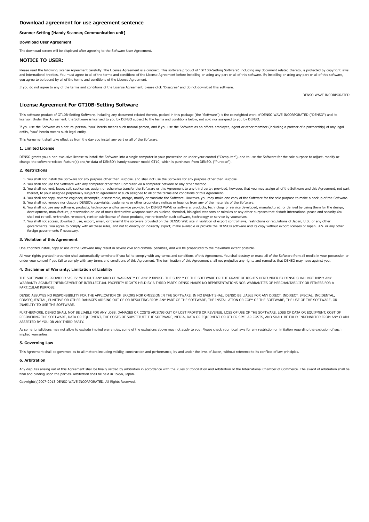## Scanner Setting [Handy Scanner, Communication unit]

## Download User Agreement

The download screen will be displayed after agreeing to the Software User Agreement.

# NOTICE TO USER:

Please read the following License Agreement carefully. The License Agreement is a contract. This software product of "GT10B-Setting Software", including any document related thereto, is protected by copyright laws and international treaties. You must agree to all of the terms and conditions of the License Agreement before installing or using any part or all of this software. By installing or using any part or all of this software, a you agree to be bound by all of the terms and conditions of the License Agreement.

If you do not agree to any of the terms and conditions of the License Agreement, please click "Disagree" and do not download this software.

## License Agreement For GT10B-Setting Software

This software product of GT10B-Setting Software, including any document related thereto, packed in this package (the "Software") is the copyrighted work of DENSO WAVE INCORPORATED ("DENSO") and its licensor. Under this Agreement, the Software is licensed to you by DENSO subject to the terms and conditions below, not sold nor assigned to you by DENSO.

If you use the Software as a natural person, "you" herein means such natural person, and if you use the Software as an officer, employee, agent or other member (including a partner of a partnership) of any legal entity, "you" herein means such legal entity.

This Agreement shall take effect as from the day you install any part or all of the Software.

#### 1. Limited License

DENSO grants you a non-exclusive license to install the Software into a single computer in your possession or under your control ("Computer"), and to use the Software for the sole purpose to adjust, modify or change the software-related feature(s) and/or data of DENSO's handy-scanner model GT10, which is purchased from DENSO, ("Purpose").

#### 2. Restrictions

- 1. You shall not install the Software for any purpose other than Purpose, and shall not use the Software for any purpose other than Purpose.
- 2. You shall not use the Software with any computer other than Computer via a computer network or any other method.
- 3. You shall not rent, lease, sell, sublicense, assign, or otherwise transfer the Software or this Agreement to any third party; provided, however, that you may assign all of the Software and this Agreement, not part thereof, to your assignee perpetually subject to agreement of such assignee to all of the terms and conditions of this Agreement.
- 4. You shall not copy, reverse engineer, decompile, disassemble, merge, modify or translate the Software. However, you may make one copy of the Software for the sole purpose to make a backup of the Software. 5. You shall not remove nor obscure DENSO's copyrights, trademarks or other proprietary notices or legends from any of the materials of the Software.
- 6. You shall not use any software, products, technology and/or service provided by DENSO WAVE or software, products, technology or service developed, manufactured, or derived by using them for the design, development, manufacture, preservation or use of mass destructive weapons such as nuclear, chemical, biological weapons or missiles or any other purposes that disturb international peace and security.You shall not re-sell, re-transfer, re-export, rent or sub-license of those products, nor re-transfer such software, technology or service by yourselves.
- 7. You shall not access, download, use, export, email, or transmit the software provided on the DENSO Web site in violation of export control laws, restrictions or regulations of Japan, U.S., or any other governments. You agree to comply with all these rules, and not to directly or indirectly export, make available or provide the DENSO's software and its copy without export licenses of Japan, U.S. or any other foreign governments if necessary.

## 3. Violation of this Agreement

Unauthorized install, copy or use of the Software may result in severe civil and criminal penalties, and will be prosecuted to the maximum extent possible.

All your rights granted hereunder shall automatically terminate if you fail to comply with any terms and conditions of this Agreement. You shall destroy or erase all of the Software from all media in your possession or under your control if you fail to comply with any terms and conditions of this Agreement. The termination of this Agreement shall not prejudice any rights and remedies that DENSO may have against you.

## 4. Disclaimer of Warranty; Limitation of Liability

THE SOFTWARE IS PROVIDED "AS IS" WITHOUT ANY KIND OF WARRANTY OF ANY PURPOSE. THE SUPPLY OF THE SOFTWARE OR THE GRANT OF RIGHTS HEREUNDER BY DENSO SHALL NOT IMPLY ANY WARRANTY AGAINST INFRINGEMENT OF INTELLECTUAL PROPERTY RIGHTS HELD BY A THIRD PARTY. DENSO MAKES NO REPRESENTATIONS NOR WARRANTIES OF MERCHANTABILITY OR FITNESS FOR A PARTICULAR PURPOSE.

DENSO ASSUMES NO RESPONSIBILITY FOR THE APPLICATION OF, ERRORS NOR OMISSION IN THE SOFTWARE. IN NO EVENT SHALL DENSO BE LIABLE FOR ANY DIRECT, INDIRECT, SPECIAL, INCIDENTAL, CONSEQUENTIAL, PUNITIVE OR OTHER DAMAGES ARISING OUT OF OR RESULTING FROM ANY PART OF THE SOFTWARE, THE INSTALLATION OR COPY OF THE SOFTWARE, THE USE OF THE SOFTWARE, OR INABILITY TO USE THE SOFTWARE.

FURTHERMORE, DENSO SHALL NOT BE LIABLE FOR ANY LOSS, DAMAGES OR COSTS ARISING OUT OF LOST PROFITS OR REVENUE, LOSS OF USE OF THE SOFTWARE, LOSS OF DATA OR EQUIPMENT, COST OF RECOVERING THE SOFTWARE, DATA OR EQUIPMENT, THE COSTS OF SUBSTITUTE THE SOFTWARE, MEDIA, DATA OR EQUIPMENT OR OTHER SIMILAR COSTS, AND SHALL BE FULLY INDEMNIFIED FROM ANY CLAIM ASSERTED BY YOU OR ANY THIRD PARTY.

As some jurisdictions may not allow to exclude implied warranties, some of the exclusions above may not apply to you. Please check your local laws for any restriction or limitation regarding the exclusion of such implied warranties

#### 5. Governing Law

This Agreement shall be governed as to all matters including validity, construction and performance, by and under the laws of Japan, without reference to its conflicts of law principles.

## 6. Arbitration

Any disputes arising out of this Agreement shall be finally settled by arbitration in accordance with the Rules of Conciliation and Arbitration of the International Chamber of Commerce. The award of arbitration shall be final and binding upon the parties. Arbitration shall be held in Tokyo, Japan.

Copyright(c)2007-2013 DENSO WAVE INCORPORATED. All Rights Reserved.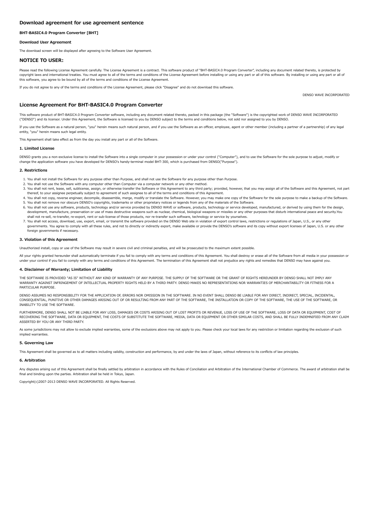# <span id="page-9-0"></span>BHT-BASIC4.0 Program Converter [BHT]

## Download User Agreement

The download screen will be displayed after agreeing to the Software User Agreement.

# NOTICE TO USER:

Please read the following License Agreement carefully. The License Agreement is a contract. This software product of "BHT-BASIC4.0 Program Converter", including any document related thereto, is protected by copyright laws and international treaties. You must agree to all of the terms and conditions of the License Agreement before installing or using any part or all of this software. By installing or using any part or all of this software, you agree to be bound by all of the terms and conditions of the License Agreement.

If you do not agree to any of the terms and conditions of the License Agreement, please click "Disagree" and do not download this software.

## License Agreement For BHT-BASIC4.0 Program Converter

This software product of BHT-BASIC4.0 Program Converter software, including any document related thereto, packed in this package (the "Software") is the copyrighted work of DENSO WAVE INCORPORATED ("DENSO") and its licensor. Under this Agreement, the Software is licensed to you by DENSO subject to the terms and conditions below, not sold nor assigned to you by DENSO.

If you use the Software as a natural person, "you" herein means such natural person, and if you use the Software as an officer, employee, agent or other member (including a partner of a partnership) of any legal entity, "you" herein means such legal entity.

This Agreement shall take effect as from the day you install any part or all of the Software.

#### 1. Limited License

DENSO grants you a non-exclusive license to install the Software into a single computer in your possession or under your control ("Computer"), and to use the Software for the sole purpose to adjust, modify or change the application software you have developed for DENSO's handy-terminal model BHT-300, which is purchased from DENSO("Purpose").

#### 2. Restrictions

- 1. You shall not install the Software for any purpose other than Purpose, and shall not use the Software for any purpose other than Purpose.
- 2. You shall not use the Software with any computer other than Computer via a computer network or any other method.
- 3. You shall not rent, lease, sell, sublicense, assign, or otherwise transfer the Software or this Agreement to any third party; provided, however, that you may assign all of the Software and this Agreement, not part thereof, to your assignee perpetually subject to agreement of such assignee to all of the terms and conditions of this Agreement.
- 4. You shall not copy, reverse engineer, decompile, disassemble, merge, modify or translate the Software. However, you may make one copy of the Software for the sole purpose to make a backup of the Software. 5. You shall not remove nor obscure DENSO's copyrights, trademarks or other proprietary notices or legends from any of the materials of the Software.
- 6. You shall not use any software, products, technology and/or service provided by DENSO WAVE or software, products, technology or service developed, manufactured, or derived by using them for the design, development, manufacture, preservation or use of mass destructive weapons such as nuclear, chemical, biological weapons or missiles or any other purposes that disturb international peace and security.You shall not re-sell, re-transfer, re-export, rent or sub-license of those products, nor re-transfer such software, technology or service by yourselves.
- 7. You shall not access, download, use, export, email, or transmit the software provided on the DENSO Web site in violation of export control laws, restrictions or regulations of Japan, U.S., or any other governments. You agree to comply with all these rules, and not to directly or indirectly export, make available or provide the DENSO's software and its copy without export licenses of Japan, U.S. or any other foreign governments if necessary.

## 3. Violation of this Agreement

Unauthorized install, copy or use of the Software may result in severe civil and criminal penalties, and will be prosecuted to the maximum extent possible.

All your rights granted hereunder shall automatically terminate if you fail to comply with any terms and conditions of this Agreement. You shall destroy or erase all of the Software from all media in your possession or under your control if you fail to comply with any terms and conditions of this Agreement. The termination of this Agreement shall not prejudice any rights and remedies that DENSO may have against you.

## 4. Disclaimer of Warranty; Limitation of Liability

THE SOFTWARE IS PROVIDED "AS IS" WITHOUT ANY KIND OF WARRANTY OF ANY PURPOSE. THE SUPPLY OF THE SOFTWARE OR THE GRANT OF RIGHTS HEREUNDER BY DENSO SHALL NOT IMPLY ANY WARRANTY AGAINST INFRINGEMENT OF INTELLECTUAL PROPERTY RIGHTS HELD BY A THIRD PARTY. DENSO MAKES NO REPRESENTATIONS NOR WARRANTIES OF MERCHANTABILITY OR FITNESS FOR A PARTICULAR PURPOSE.

DENSO ASSUMES NO RESPONSIBILITY FOR THE APPLICATION OF, ERRORS NOR OMISSION IN THE SOFTWARE. IN NO EVENT SHALL DENSO BE LIABLE FOR ANY DIRECT, INDIRECT, SPECIAL, INCIDENTAL, CONSEQUENTIAL, PUNITIVE OR OTHER DAMAGES ARISING OUT OF OR RESULTING FROM ANY PART OF THE SOFTWARE, THE INSTALLATION OR COPY OF THE SOFTWARE, THE USE OF THE SOFTWARE, OR INABILITY TO USE THE SOFTWARE.

FURTHERMORE, DENSO SHALL NOT BE LIABLE FOR ANY LOSS, DAMAGES OR COSTS ARISING OUT OF LOST PROFITS OR REVENUE, LOSS OF USE OF THE SOFTWARE, LOSS OF DATA OR EQUIPMENT, COST OF RECOVERING THE SOFTWARE, DATA OR EQUIPMENT, THE COSTS OF SUBSTITUTE THE SOFTWARE, MEDIA, DATA OR EQUIPMENT OR OTHER SIMILAR COSTS, AND SHALL BE FULLY INDEMNIFIED FROM ANY CLAIM ASSERTED BY YOU OR ANY THIRD PARTY.

As some jurisdictions may not allow to exclude implied warranties, some of the exclusions above may not apply to you. Please check your local laws for any restriction or limitation regarding the exclusion of such implied warranties

#### 5. Governing Law

This Agreement shall be governed as to all matters including validity, construction and performance, by and under the laws of Japan, without reference to its conflicts of law principles.

## 6. Arbitration

Any disputes arising out of this Agreement shall be finally settled by arbitration in accordance with the Rules of Conciliation and Arbitration of the International Chamber of Commerce. The award of arbitration shall be final and binding upon the parties. Arbitration shall be held in Tokyo, Japan.

Copyright(c)2007-2013 DENSO WAVE INCORPORATED. All Rights Reserved.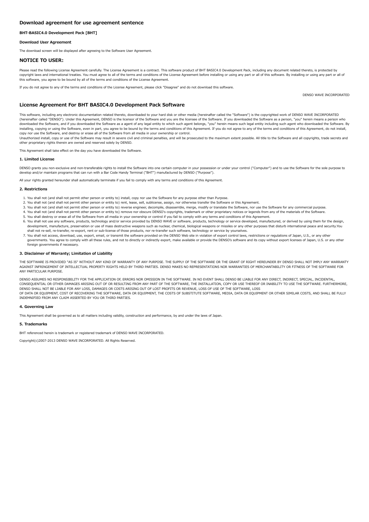# <span id="page-10-0"></span>BHT-BASIC4.0 Development Pack [BHT]

## Download User Agreement

The download screen will be displayed after agreeing to the Software User Agreement.

# NOTICE TO USER:

Please read the following License Agreement carefully. The License Agreement is a contract. This software product of BHT BASIC4.0 Development Pack, including any document related thereto, is protected by copyright laws and international treaties. You must agree to all of the terms and conditions of the License Agreement before installing or using any part or all of this software. By installing or using any part or all of this software, you agree to be bound by all of the terms and conditions of the License Agreement.

If you do not agree to any of the terms and conditions of the License Agreement, please click "Disagree" and do not download this software.

DENSO WAVE INCORPORATED

## License Agreement For BHT BASIC4.0 Development Pack Software

This software, including any electronic documentation related thereto, downloaded to your hard disk or other media (hereinafter called the "Software") is the copyrighted work of DENSO WAVE INCORPORATED (hereinafter called "DENSO"). Under this Agreement, DENSO is the licensor of the Software and you are the licensee of the Software. If you downloaded the Software as a person, "you" herein means a person who downloaded the Software, and if you downloaded the Software as a agent of any legal entity to which such agent belongs, "you" herein means such legal entity including such agent who downloaded the Software. By installing, copying or using the Software, even in part, you agree to be bound by the terms and conditions of this Agreement. If you do not agree to any of the terms and conditions of this Agreement, do not install, copy n

Unauthorized install, copy or use of the Software may result in severe civil and criminal penalties, and will be prosecuted to the maximum extent possible. All title to the Software and all copyrights, trade secrets and other proprietary rights therein are owned and reserved solely by DENSO.

This Agreement shall take effect on the day you have downloaded the Software.

#### 1. Limited License

DENSO grants you non-exclusive and non-transferable rights to install the Software into one certain computer in your possession or under your control ("Computer") and to use the Software for the sole purpose to develop and/or maintain programs that can run with a Bar Code Handy Terminal ("BHT") manufactured by DENSO ("Purpose").

All your rights granted hereunder shall automatically terminate if you fail to comply with any terms and conditions of this Agreement.

#### 2. Restrictions

- 1. You shall not (and shall not permit other person or entity to) install, copy nor use the Software for any purpose other than Purpose.
- 2. You shall not (and shall not permit other person or entity to) rent, lease, sell, sublicense, assign, nor otherwise transfer the Software or this Agreement.
- 3. You shall not (and shall not permit other person or entity to) reverse engineer, decompile, disassemble, merge, modify or translate the Software, nor use the Software for any commercial purpose.
- 4. You shall not (and shall not permit other person or entity to) remove nor obscure DENSO's copyrights, trademark or other proprietary notices or legends from any of the materials of the Software.
- 5. You shall destroy or erase all of the Software from all media in your ownership or control if you fail to comply with any terms and conditions of this Agreement.
- 6. You shall not use any software, products, technology and/or service provided by DENSO WAVE or software, products, technology or service developed, manufactured, or derived by using them for the design, development, manufacture, preservation or use of mass destructive weapons such as nuclear, chemical, biological weapons or missiles or any other purposes that disturb international peace and security.You shall not re-sell, re-transfer, re-export, rent or sub-license of those products, nor re-transfer such software, technology or service by yourselves.
- 7. You shall not access, download, use, export, email, or transmit the software provided on the DENSO Web site in violation of export control laws, restrictions or regulations of Japan, U.S., or any other governments. You agree to comply with all these rules, and not to directly or indirectly export, make available or provide the DENSO's software and its copy without export licenses of Japan, U.S. or any other foreign governments if necessary.

#### 3. Disclaimer of Warranty; Limitation of Liability

THE SOFTWARE IS PROVIDED "AS IS" WITHOUT ANY KIND OF WARRANTY OF ANY PURPOSE. THE SUPPLY OF THE SOFTWARE OR THE GRANT OF RIGHT HEREUNDER BY DENSO SHALL NOT IMPLY ANY WARRANTY AGAINST INFRINGEMENT OF INTELLECTUAL PROPERTY RIGHTS HELD BY THIRD PARTIES. DENSO MAKES NO REPRESENTATIONS NOR WARRANTIES OF MERCHANTABILITY OR FITNESS OF THE SOFTWARE FOR ANY PARTICULAR PURPOSE.

DENSO ASSUMES NO RESPONSIBILITY FOR THE APPLICATION OF, ERRORS NOR OMISSION IN THE SOFTWARE. IN NO EVENT SHALL DENSO BE LIABLE FOR ANY DIRECT, INDIRECT, SPECIAL, INCIDENTAL, CONSEQUENTIAL OR OTHER DAMAGES ARISING OUT OF OR RESULTING FROM ANY PART OF THE SOFTWARE, THE INSTALLATION, COPY OR USE THEREOF OR INABILITY TO USE THE SOFTWARE. FURTHERMORE,<br>DENSO SHALL NOT BE LIABLE FOR ANY LOSS, DAMAGES OF DATA OR EQUIPMENT, COST OF RECOVERING THE SOFTWARE, DATA OR EQUIPMENT, THE COSTS OF SUBSTITUTE SOFTWARE, MEDIA, DATA OR EQUIPMENT OR OTHER SIMILAR COSTS, AND SHALL BE FULLY INDEMNIFIED FROM ANY CLAIM ASSERTED BY YOU OR THIRD PARTIES.

## 4. Governing Law

This Agreement shall be governed as to all matters including validity, construction and performance, by and under the laws of Japan.

#### 5. Trademarks

BHT referenced herein is trademark or registered trademark of DENSO WAVE INCORPORATED.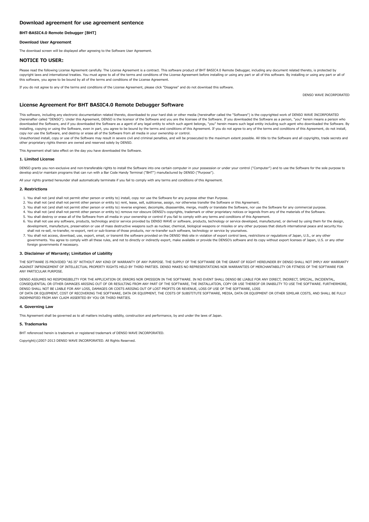# <span id="page-11-0"></span>BHT-BASIC4.0 Remote Debugger [BHT]

# Download User Agreement

The download screen will be displayed after agreeing to the Software User Agreement.

# NOTICE TO USER:

Please read the following License Agreement carefully. The License Agreement is a contract. This software product of BHT BASIC4.0 Remote Debugger, including any document related thereto, is protected by copyright laws and international treaties. You must agree to all of the terms and conditions of the License Agreement before installing or using any part or all of this software. By installing or using any part or all of this software, you agree to be bound by all of the terms and conditions of the License Agreement.

If you do not agree to any of the terms and conditions of the License Agreement, please click "Disagree" and do not download this software.

DENSO WAVE INCORPORATED

## License Agreement For BHT BASIC4.0 Remote Debugger Software

This software, including any electronic documentation related thereto, downloaded to your hard disk or other media (hereinafter called the "Software") is the copyrighted work of DENSO WAVE INCORPORATED (hereinafter called "DENSO"). Under this Agreement, DENSO is the licensor of the Software and you are the licensee of the Software. If you downloaded the Software as a person, "you" herein means a person who downloaded the Software, and if you downloaded the Software as a agent of any legal entity to which such agent belongs, "you" herein means such legal entity including such agent who downloaded the Software. By installing, copying or using the Software, even in part, you agree to be bound by the terms and conditions of this Agreement. If you do not agree to any of the terms and conditions of this Agreement, do not install, copy n

Unauthorized install, copy or use of the Software may result in severe civil and criminal penalties, and will be prosecuted to the maximum extent possible. All title to the Software and all copyrights, trade secrets and other proprietary rights therein are owned and reserved solely by DENSO.

This Agreement shall take effect on the day you have downloaded the Software.

#### 1. Limited License

DENSO grants you non-exclusive and non-transferable rights to install the Software into one certain computer in your possession or under your control ("Computer") and to use the Software for the sole purpose to develop and/or maintain programs that can run with a Bar Code Handy Terminal ("BHT") manufactured by DENSO ("Purpose").

All your rights granted hereunder shall automatically terminate if you fail to comply with any terms and conditions of this Agreement.

#### 2. Restrictions

- 1. You shall not (and shall not permit other person or entity to) install, copy nor use the Software for any purpose other than Purpose.
- 2. You shall not (and shall not permit other person or entity to) rent, lease, sell, sublicense, assign, nor otherwise transfer the Software or this Agreement.
- 3. You shall not (and shall not permit other person or entity to) reverse engineer, decompile, disassemble, merge, modify or translate the Software, nor use the Software for any commercial purpose.
- 4. You shall not (and shall not permit other person or entity to) remove nor obscure DENSO's copyrights, trademark or other proprietary notices or legends from any of the materials of the Software.
- 5. You shall destroy or erase all of the Software from all media in your ownership or control if you fail to comply with any terms and conditions of this Agreement.
- 6. You shall not use any software, products, technology and/or service provided by DENSO WAVE or software, products, technology or service developed, manufactured, or derived by using them for the design, development, manufacture, preservation or use of mass destructive weapons such as nuclear, chemical, biological weapons or missiles or any other purposes that disturb international peace and security.You shall not re-sell, re-transfer, re-export, rent or sub-license of those products, nor re-transfer such software, technology or service by yourselves.
- 7. You shall not access, download, use, export, email, or transmit the software provided on the DENSO Web site in violation of export control laws, restrictions or regulations of Japan, U.S., or any other governments. You agree to comply with all these rules, and not to directly or indirectly export, make available or provide the DENSO's software and its copy without export licenses of Japan, U.S. or any other foreign governments if necessary.

#### 3. Disclaimer of Warranty; Limitation of Liability

THE SOFTWARE IS PROVIDED "AS IS" WITHOUT ANY KIND OF WARRANTY OF ANY PURPOSE. THE SUPPLY OF THE SOFTWARE OR THE GRANT OF RIGHT HEREUNDER BY DENSO SHALL NOT IMPLY ANY WARRANTY AGAINST INFRINGEMENT OF INTELLECTUAL PROPERTY RIGHTS HELD BY THIRD PARTIES. DENSO MAKES NO REPRESENTATIONS NOR WARRANTIES OF MERCHANTABILITY OR FITNESS OF THE SOFTWARE FOR ANY PARTICULAR PURPOSE.

DENSO ASSUMES NO RESPONSIBILITY FOR THE APPLICATION OF, ERRORS NOR OMISSION IN THE SOFTWARE. IN NO EVENT SHALL DENSO BE LIABLE FOR ANY DIRECT, INDIRECT, SPECIAL, INCIDENTAL, CONSEQUENTIAL OR OTHER DAMAGES ARISING OUT OF OR RESULTING FROM ANY PART OF THE SOFTWARE, THE INSTALLATION, COPY OR USE THEREOF OR INABILITY TO USE THE SOFTWARE. FURTHERMORE,<br>DENSO SHALL NOT BE LIABLE FOR ANY LOSS, DAMAGES OF DATA OR EQUIPMENT, COST OF RECOVERING THE SOFTWARE, DATA OR EQUIPMENT, THE COSTS OF SUBSTITUTE SOFTWARE, MEDIA, DATA OR EQUIPMENT OR OTHER SIMILAR COSTS, AND SHALL BE FULLY INDEMNIFIED FROM ANY CLAIM ASSERTED BY YOU OR THIRD PARTIES.

## 4. Governing Law

This Agreement shall be governed as to all matters including validity, construction and performance, by and under the laws of Japan.

#### 5. Trademarks

BHT referenced herein is trademark or registered trademark of DENSO WAVE INCORPORATED.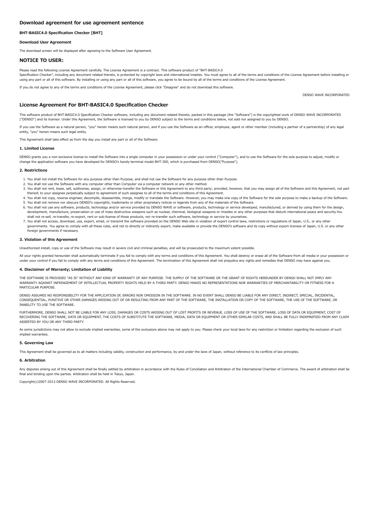# <span id="page-12-0"></span>BHT-BASIC4.0 Specification Checker [BHT]

## Download User Agreement

The download screen will be displayed after agreeing to the Software User Agreement.

# NOTICE TO USER:

Please read the following License Agreement carefully. The License Agreement is a contract. This software product of "BHT-BASIC4.0 Specification Checker", including any document related thereto, is protected by copyright laws and international treaties. You must agree to all of the terms and conditions of the License Agreement before installing or using any part or all of this software. By installing or using any part or all of this software, you agree to be bound by all of the terms and conditions of the License Agreement.

If you do not agree to any of the terms and conditions of the License Agreement, please click "Disagree" and do not download this software.

## License Agreement For BHT-BASIC4.0 Specification Checker

This software product of BHT-BASIC4.0 Specification Checker software, including any document related thereto, packed in this package (the "Software") is the copyrighted work of DENSO WAVE INCORPORATED ("DENSO") and its licensor. Under this Agreement, the Software is licensed to you by DENSO subject to the terms and conditions below, not sold nor assigned to you by DENSO.

If you use the Software as a natural person, "you" herein means such natural person, and if you use the Software as an officer, employee, agent or other member (including a partner of a partnership) of any legal entity, "you" herein means such legal entity.

This Agreement shall take effect as from the day you install any part or all of the Software.

#### 1. Limited License

DENSO grants you a non-exclusive license to install the Software into a single computer in your possession or under your control ("Computer"), and to use the Software for the sole purpose to adjust, modify or change the application software you have developed for DENSO's handy-terminal model BHT-300, which is purchased from DENSO("Purpose").

#### 2. Restrictions

- 1. You shall not install the Software for any purpose other than Purpose, and shall not use the Software for any purpose other than Purpose.
- 2. You shall not use the Software with any computer other than Computer via a computer network or any other method.
- 3. You shall not rent, lease, sell, sublicense, assign, or otherwise transfer the Software or this Agreement to any third party; provided, however, that you may assign all of the Software and this Agreement, not part thereof, to your assignee perpetually subject to agreement of such assignee to all of the terms and conditions of this Agreement.
- 4. You shall not copy, reverse engineer, decompile, disassemble, merge, modify or translate the Software. However, you may make one copy of the Software for the sole purpose to make a backup of the Software. 5. You shall not remove nor obscure DENSO's copyrights, trademarks or other proprietary notices or legends from any of the materials of the Software.
- 6. You shall not use any software, products, technology and/or service provided by DENSO WAVE or software, products, technology or service developed, manufactured, or derived by using them for the design, development, manufacture, preservation or use of mass destructive weapons such as nuclear, chemical, biological weapons or missiles or any other purposes that disturb international peace and security.You shall not re-sell, re-transfer, re-export, rent or sub-license of those products, nor re-transfer such software, technology or service by yourselves.
- 7. You shall not access, download, use, export, email, or transmit the software provided on the DENSO Web site in violation of export control laws, restrictions or regulations of Japan, U.S., or any other governments. You agree to comply with all these rules, and not to directly or indirectly export, make available or provide the DENSO's software and its copy without export licenses of Japan, U.S. or any other foreign governments if necessary.

## 3. Violation of this Agreement

Unauthorized install, copy or use of the Software may result in severe civil and criminal penalties, and will be prosecuted to the maximum extent possible.

All your rights granted hereunder shall automatically terminate if you fail to comply with any terms and conditions of this Agreement. You shall destroy or erase all of the Software from all media in your possession or under your control if you fail to comply with any terms and conditions of this Agreement. The termination of this Agreement shall not prejudice any rights and remedies that DENSO may have against you.

## 4. Disclaimer of Warranty; Limitation of Liability

THE SOFTWARE IS PROVIDED "AS IS" WITHOUT ANY KIND OF WARRANTY OF ANY PURPOSE. THE SUPPLY OF THE SOFTWARE OR THE GRANT OF RIGHTS HEREUNDER BY DENSO SHALL NOT IMPLY ANY WARRANTY AGAINST INFRINGEMENT OF INTELLECTUAL PROPERTY RIGHTS HELD BY A THIRD PARTY. DENSO MAKES NO REPRESENTATIONS NOR WARRANTIES OF MERCHANTABILITY OR FITNESS FOR A PARTICULAR PURPOSE.

DENSO ASSUMES NO RESPONSIBILITY FOR THE APPLICATION OF, ERRORS NOR OMISSION IN THE SOFTWARE. IN NO EVENT SHALL DENSO BE LIABLE FOR ANY DIRECT, INDIRECT, SPECIAL, INCIDENTAL, CONSEQUENTIAL, PUNITIVE OR OTHER DAMAGES ARISING OUT OF OR RESULTING FROM ANY PART OF THE SOFTWARE, THE INSTALLATION OR COPY OF THE SOFTWARE, THE USE OF THE SOFTWARE, OR INABILITY TO USE THE SOFTWARE.

FURTHERMORE, DENSO SHALL NOT BE LIABLE FOR ANY LOSS, DAMAGES OR COSTS ARISING OUT OF LOST PROFITS OR REVENUE, LOSS OF USE OF THE SOFTWARE, LOSS OF DATA OR EQUIPMENT, COST OF RECOVERING THE SOFTWARE, DATA OR EQUIPMENT, THE COSTS OF SUBSTITUTE THE SOFTWARE, MEDIA, DATA OR EQUIPMENT OR OTHER SIMILAR COSTS, AND SHALL BE FULLY INDEMNIFIED FROM ANY CLAIM ASSERTED BY YOU OR ANY THIRD PARTY.

As some jurisdictions may not allow to exclude implied warranties, some of the exclusions above may not apply to you. Please check your local laws for any restriction or limitation regarding the exclusion of such implied warranties

## 5. Governing Law

This Agreement shall be governed as to all matters including validity, construction and performance, by and under the laws of Japan, without reference to its conflicts of law principles.

## 6. Arbitration

Any disputes arising out of this Agreement shall be finally settled by arbitration in accordance with the Rules of Conciliation and Arbitration of the International Chamber of Commerce. The award of arbitration shall be final and binding upon the parties. Arbitration shall be held in Tokyo, Japan.

Copyright(c)2007-2013 DENSO WAVE INCORPORATED. All Rights Reserved.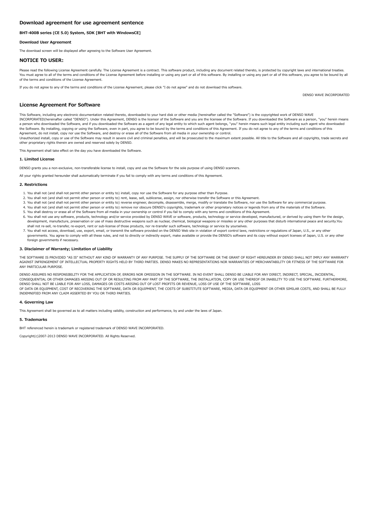## <span id="page-13-0"></span>BHT-400B series (CE 5.0) System, SDK [BHT with WindowsCE]

## Download User Agreement

The download screen will be displayed after agreeing to the Software User Agreement.

## NOTICE TO USER:

Please read the following License Agreement carefully. The License Agreement is a contract. This software product, including any document related thereto, is protected by copyright laws and international treaties. You must agree to all of the terms and conditions of the License Agreement before installing or using any part or all of this software. By installing or using any part or all of this software, you agree to be bound by all of the terms and conditions of the License Agreement.

If you do not agree to any of the terms and conditions of the License Agreement, please click "I do not agree" and do not download this software.

DENSO WAVE INCORPORATED

## License Agreement For Software

This Software, including any electronic documentation related thereto, downloaded to your hard disk or other media (hereinafter called the "Software") is the copyrighted work of DENSO WAVE INCORPORATED(hereinafter called "DENSO"). Under this Agreement, DENSO is the licensor of the Software and you are the licensee of the Software. If you downloaded the Software as a person, "you" herein means a person who downloaded the Software, and if you downloaded the Software as a agent of any legal entity to which such agent belongs, "you" herein means such legal entity including such agent who downloaded the Software. By installing, copying or using the Software, even in part, you agree to be bound by the terms and conditions of this Agreement. If you do not agree to any of the terms and conditions of this Agreement, do no

Unauthorized install, copy or use of the Software may result in severe civil and criminal penalties, and will be prosecuted to the maximum extent possible. All title to the Software and all copyrights, trade secrets and other proprietary rights therein are owned and reserved solely by DENSO.

This Agreement shall take effect on the day you have downloaded the Software.

### 1. Limited License

DENSO grants you a non-exclusive, non-transferable license to install, copy and use the Software for the sole purpose of using DENSO scanners.

All your rights granted hereunder shall automatically terminate if you fail to comply with any terms and conditions of this Agreement.

#### 2. Restrictions

- 1. You shall not (and shall not permit other person or entity to) install, copy nor use the Software for any purpose other than Purpose.
- 2. You shall not (and shall not permit other person or entity to) rent, lease, sell, sublicense, assign, nor otherwise transfer the Software or this Agreement.
- 3. You shall not (and shall not permit other person or entity to) reverse engineer, decompile, disassemble, merge, modify or translate the Software, nor use the Software for any commercial purpose.
- 4. You shall not (and shall not permit other person or entity to) remove nor obscure DENSO's copyrights, trademark or other proprietary notices or legends from any of the materials of the Software.
- 5. You shall destroy or erase all of the Software from all media in your ownership or control if you fail to comply with any terms and conditions of this Agreement. 6. You shall not use any software, products, technology and/or service provided by DENSO WAVE or software, products, technology or service developed, manufactured, or derived by using them for the design,<br>development, manu
- shall not re-sell, re-transfer, re-export, rent or sub-license of those products, nor re-transfer such software, technology or service by yourselves. 7. You shall not access, download, use, export, email, or transmit the software provided on the DENSO Web site in violation of export control laws, restrictions or regulations of Japan, U.S., or any other
- governments. You agree to comply with all these rules, and not to directly or indirectly export, make available or provide the DENSO's software and its copy without export licenses of Japan, U.S. or any other foreign governments if necessary.

## 3. Disclaimer of Warranty; Limitation of Liability

THE SOFTWARE IS PROVIDED "AS IS" WITHOUT ANY KIND OF WARRANTY OF ANY PURPOSE. THE SUPPLY OF THE SOFTWARE OR THE GRANT OF RIGHT HEREUNDER BY DENSO SHALL NOT IMPLY ANY WARRANTY AGAINST INFRINGEMENT OF INTELLECTUAL PROPERTY RIGHTS HELD BY THIRD PARTIES. DENSO MAKES NO REPRESENTATIONS NOR WARRANTIES OF MERCHANTABILITY OR FITNESS OF THE SOFTWARE FOR ANY PARTICULAR PURPOSE.

DENSO ASSUMES NO RESPONSIBILITY FOR THE APPLICATION OF, ERRORS NOR OMISSION IN THE SOFTWARE. IN NO EVENT SHALL DENSO BE LIABLE FOR ANY DIRECT, INDIRECT, SPECIAL, INCIDENTAL, CONSEQUENTIAL OR OTHER DAMAGES ARISING OUT OF OR RESULTING FROM ANY PART OF THE SOFTWARE, THE INSTALLATION, COPY OR USE THEREOF OR INABILITY TO USE THE SOFTWARE. FURTHERMORE,<br>DENSO SHALL NOT BE LIABLE FOR ANY LOSS, DAMAGES OF DATA OR EQUIPMENT, COST OF RECOVERING THE SOFTWARE, DATA OR EQUIPMENT, THE COSTS OF SUBSTITUTE SOFTWARE, MEDIA, DATA OR EQUIPMENT OR OTHER SIMILAR COSTS, AND SHALL BE FULLY INDEMNIFIED FROM ANY CLAIM ASSERTED BY YOU OR THIRD PARTIES.

#### 4. Governing Law

This Agreement shall be governed as to all matters including validity, construction and performance, by and under the laws of Japan.

#### 5. Trademarks

BHT referenced herein is trademark or registered trademark of DENSO WAVE INCORPORATED.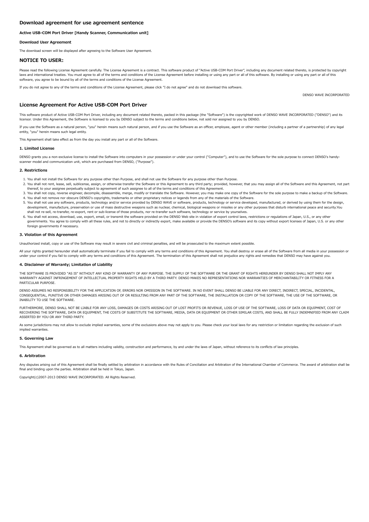## <span id="page-14-0"></span>Active USB-COM Port Driver [Handy Scanner, Communication unit]

Download User Agreement

The download screen will be displayed after agreeing to the Software User Agreement.

# NOTICE TO USER:

Please read the following License Agreement carefully. The License Agreement is a contract. This software product of "Active USB-COM Port Driver", including any document related thereto, is protected by copyright laws and international treaties. You must agree to all of the terms and conditions of the License Agreement before installing or using any part or all of this software. By installing or using any part or all of this software, you agree to be bound by all of the terms and conditions of the License Agreement.

If you do not agree to any of the terms and conditions of the License Agreement, please click "I do not agree" and do not download this software.

## License Agreement For Active USB-COM Port Driver

This software product of Active USB-COM Port Driver, including any document related thereto, packed in this package (the "Software") is the copyrighted work of DENSO WAVE INCORPORATED ("DENSO") and its licensor. Under this Agreement, the Software is licensed to you by DENSO subject to the terms and conditions below, not sold nor assigned to you by DENSO.

If you use the Software as a natural person, "you" herein means such natural person, and if you use the Software as an officer, employee, agent or other member (including a partner of a partnership) of any legal entity, "you" herein means such legal entity.

This Agreement shall take effect as from the day you install any part or all of the Software.

#### 1. Limited License

DENSO grants you a non-exclusive license to install the Software into computers in your possession or under your control ("Computer"), and to use the Software for the sole purpose to connect DENSO's handyscanner model and communication unit, which are purchased from DENSO, ("Purpose").

## $2. R$

- 1. You shall not install the Software for any purpose other than Purpose, and shall not use the Software for any purpose other than Purpose.
- 2. You shall not rent, lease, sell, sublicense, assign, or otherwise transfer the Software or this Agreement to any third party; provided, however, that you may assign all of the Software and this Agreement, not part thereof, to your assignee perpetually subject to agreement of such assignee to all of the terms and conditions of this Agreement.
- 3. You shall not copy, reverse engineer, decompile, disassemble, merge, modify or translate the Software. However, you may make one copy of the Software for the sole purpose to make a backup of the Software. 4. You shall not remove nor obscure DENSO's copyrights, trademarks or other proprietary notices or legends from any of the materials of the Software.
- 5. You shall not use any software, products, technology and/or service provided by DENSO WAVE or software, products, technology or service developed, manufactured, or derived by using them for the design, development, manufacture, preservation or use of mass destructive weapons such as nuclear, chemical, biological weapons or missiles or any other purposes that disturb international peace and security.You shall not re-sell, re-transfer, re-export, rent or sub-license of those products, nor re-transfer such software, technology or service by yourselves.
- 6. You shall not access, download, use, export, email, or transmit the software provided on the DENSO Web site in violation of export control laws, restrictions or regulations of Japan, U.S., or any other governments. You agree to comply with all these rules, and not to directly or indirectly export, make available or provide the DENSO's software and its copy without export licenses of Japan, U.S. or any other foreign governments if necessary.

#### 3. Violation of this Agreement

Unauthorized install, copy or use of the Software may result in severe civil and criminal penalties, and will be prosecuted to the maximum extent possible.

All your rights granted hereunder shall automatically terminate if you fail to comply with any terms and conditions of this Agreement. You shall destroy or erase all of the Software from all media in your possession or under your control if you fail to comply with any terms and conditions of this Agreement. The termination of this Agreement shall not prejudice any rights and remedies that DENSO may have against you.

#### 4. Disclaimer of Warranty; Limitation of Liability

THE SOFTWARE IS PROVIDED "AS IS" WITHOUT ANY KIND OF WARRANTY OF ANY PURPOSE. THE SUPPLY OF THE SOFTWARE OR THE GRANT OF RIGHTS HEREUNDER BY DENSO SHALL NOT IMPLY ANY WARRANTY AGAINST INFRINGEMENT OF INTELLECTUAL PROPERTY RIGHTS HELD BY A THIRD PARTY. DENSO MAKES NO REPRESENTATIONS NOR WARRANTIES OF MERCHANTABILITY OR FITNESS FOR A PARTICULAR PURPOSE.

DENSO ASSUMES NO RESPONSIBILITY FOR THE APPLICATION OF, ERRORS NOR OMISSION IN THE SOFTWARE. IN NO EVENT SHALL DENSO BE LIABLE FOR ANY DIRECT, INDIRECT, SPECIAL, INCIDENTAL, CONSEQUENTIAL, PUNITIVE OR OTHER DAMAGES ARISING OUT OF OR RESULTING FROM ANY PART OF THE SOFTWARE, THE INSTALLATION OR COPY OF THE SOFTWARE, THE USE OF THE SOFTWARE, OR INABILITY TO USE THE SOFTWARE.

FURTHERMORE, DENSO SHALL NOT BE LIABLE FOR ANY LOSS, DAMAGES OR COSTS ARISING OUT OF LOST PROFITS OR REVENUE, LOSS OF USE OF THE SOFTWARE, LOSS OF DATA OR EQUIPMENT, COST OF RECOVERING THE SOFTWARE, DATA OR EQUIPMENT, THE COSTS OF SUBSTITUTE THE SOFTWARE, MEDIA, DATA OR EQUIPMENT OR OTHER SIMILAR COSTS, AND SHALL BE FULLY INDEMNIFIED FROM ANY CLAIM ASSERTED BY YOU OR ANY THIRD PARTY.

As some jurisdictions may not allow to exclude implied warranties, some of the exclusions above may not apply to you. Please check your local laws for any restriction or limitation regarding the exclusion of such implied warranties.

#### 5. Governing Law

This Agreement shall be governed as to all matters including validity, construction and performance, by and under the laws of Japan, without reference to its conflicts of law principles.

#### 6. Arbitration

Any disputes arising out of this Agreement shall be finally settled by arbitration in accordance with the Rules of Conciliation and Arbitration of the International Chamber of Commerce. The award of arbitration shall be final and binding upon the parties. Arbitration shall be held in Tokyo, Japan.

Copyright(c)2007-2013 DENSO WAVE INCORPORATED. All Rights Reserved.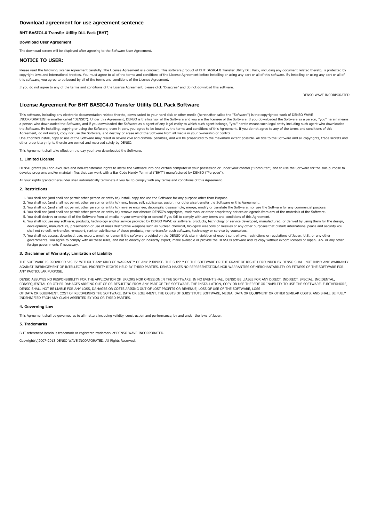# <span id="page-15-0"></span>BHT-BASIC4.0 Transfer Utility DLL Pack [BHT]

# Download User Agreement

The download screen will be displayed after agreeing to the Software User Agreement.

# NOTICE TO USER:

Please read the following License Agreement carefully. The License Agreement is a contract. This software product of BHT BASIC4.0 Transfer Utility DLL Pack, including any document related thereto, is protected by copyright laws and international treaties. You must agree to all of the terms and conditions of the License Agreement before installing or using any part or all of this software. By installing or using any part or all of this software, you agree to be bound by all of the terms and conditions of the License Agreement.

If you do not agree to any of the terms and conditions of the License Agreement, please click "Disagree" and do not download this software.

DENSO WAVE INCORPORATED

## License Agreement For BHT BASIC4.0 Transfer Utility DLL Pack Software

This software, including any electronic documentation related thereto, downloaded to your hard disk or other media (hereinafter called the "Software") is the copyrighted work of DENSO WAVE INCORPORATED(hereinafter called "DENSO"). Under this Agreement, DENSO is the licensor of the Software and you are the licensee of the Software. If you downloaded the Software as a person, "you" herein means a person who downloaded the Software, and if you downloaded the Software as a agent of any legal entity to which such agent belongs, "you" herein means such legal entity including such agent who downloaded the Software. By installing, copying or using the Software, even in part, you agree to be bound by the terms and conditions of this Agreement. If you do not agree to any of the terms and conditions of this Agreement, do no

Unauthorized install, copy or use of the Software may result in severe civil and criminal penalties, and will be prosecuted to the maximum extent possible. All title to the Software and all copyrights, trade secrets and other proprietary rights therein are owned and reserved solely by DENSO.

This Agreement shall take effect on the day you have downloaded the Software.

#### 1. Limited License

DENSO grants you non-exclusive and non-transferable rights to install the Software into one certain computer in your possession or under your control ("Computer") and to use the Software for the sole purpose to develop programs and/or maintain files that can work with a Bar Code Handy Terminal ("BHT") manufactured by DENSO ("Purpose").

All your rights granted hereunder shall automatically terminate if you fail to comply with any terms and conditions of this Agreement.

#### 2. Restrictions

- 1. You shall not (and shall not permit other person or entity to) install, copy nor use the Software for any purpose other than Purpose.
- 2. You shall not (and shall not permit other person or entity to) rent, lease, sell, sublicense, assign, nor otherwise transfer the Software or this Agreement.
- 3. You shall not (and shall not permit other person or entity to) reverse engineer, decompile, disassemble, merge, modify or translate the Software, nor use the Software for any commercial purpose.
- 4. You shall not (and shall not permit other person or entity to) remove nor obscure DENSO's copyrights, trademark or other proprietary notices or legends from any of the materials of the Software.
- 5. You shall destroy or erase all of the Software from all media in your ownership or control if you fail to comply with any terms and conditions of this Agreement.
- 6. You shall not use any software, products, technology and/or service provided by DENSO WAVE or software, products, technology or service developed, manufactured, or derived by using them for the design, development, manufacture, preservation or use of mass destructive weapons such as nuclear, chemical, biological weapons or missiles or any other purposes that disturb international peace and security.You shall not re-sell, re-transfer, re-export, rent or sub-license of those products, nor re-transfer such software, technology or service by yourselves.
- 7. You shall not access, download, use, export, email, or transmit the software provided on the DENSO Web site in violation of export control laws, restrictions or regulations of Japan, U.S., or any other governments. You agree to comply with all these rules, and not to directly or indirectly export, make available or provide the DENSO's software and its copy without export licenses of Japan, U.S. or any other foreign governments if necessary.

#### 3. Disclaimer of Warranty; Limitation of Liability

THE SOFTWARE IS PROVIDED "AS IS" WITHOUT ANY KIND OF WARRANTY OF ANY PURPOSE. THE SUPPLY OF THE SOFTWARE OR THE GRANT OF RIGHT HEREUNDER BY DENSO SHALL NOT IMPLY ANY WARRANTY AGAINST INFRINGEMENT OF INTELLECTUAL PROPERTY RIGHTS HELD BY THIRD PARTIES. DENSO MAKES NO REPRESENTATIONS NOR WARRANTIES OF MERCHANTABILITY OR FITNESS OF THE SOFTWARE FOR ANY PARTICULAR PURPOSE.

DENSO ASSUMES NO RESPONSIBILITY FOR THE APPLICATION OF, ERRORS NOR OMISSION IN THE SOFTWARE. IN NO EVENT SHALL DENSO BE LIABLE FOR ANY DIRECT, INDIRECT, SPECIAL, INCIDENTAL, CONSEQUENTIAL OR OTHER DAMAGES ARISING OUT OF OR RESULTING FROM ANY PART OF THE SOFTWARE, THE INSTALLATION, COPY OR USE THEREOF OR INABILITY TO USE THE SOFTWARE. FURTHERMORE,<br>DENSO SHALL NOT BE LIABLE FOR ANY LOSS, DAMAGES OF DATA OR EQUIPMENT, COST OF RECOVERING THE SOFTWARE, DATA OR EQUIPMENT, THE COSTS OF SUBSTITUTE SOFTWARE, MEDIA, DATA OR EQUIPMENT OR OTHER SIMILAR COSTS, AND SHALL BE FULLY INDEMNIFIED FROM ANY CLAIM ASSERTED BY YOU OR THIRD PARTIES.

## 4. Governing Law

This Agreement shall be governed as to all matters including validity, construction and performance, by and under the laws of Japan.

#### 5. Trademarks

BHT referenced herein is trademark or registered trademark of DENSO WAVE INCORPORATED.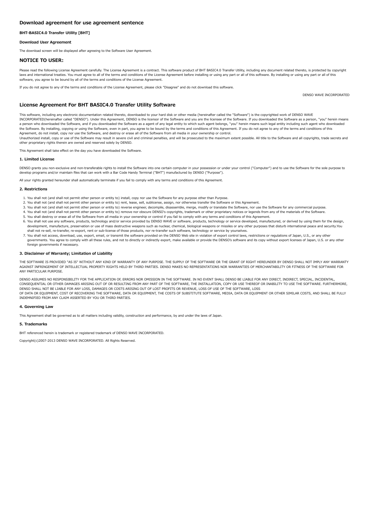# <span id="page-16-0"></span>BHT-BASIC4.0 Transfer Utility [BHT]

## Download User Agreement

The download screen will be displayed after agreeing to the Software User Agreement.

# NOTICE TO USER:

Please read the following License Agreement carefully. The License Agreement is a contract. This software product of BHT BASIC4.0 Transfer Utility, including any document related thereto, is protected by copyright laws and international treaties. You must agree to all of the terms and conditions of the License Agreement before installing or using any part or all of this software. By installing or using any part or all of this software, you agree to be bound by all of the terms and conditions of the License Agreement.

DENSO WAVE INCORPORATED

If you do not agree to any of the terms and conditions of the License Agreement, please click "Disagree" and do not download this software.

License Agreement For BHT BASIC4.0 Transfer Utility Software

This software, including any electronic documentation related thereto, downloaded to your hard disk or other media (hereinafter called the "Software") is the copyrighted work of DENSO WAVE INCORPORATED(hereinafter called "DENSO"). Under this Agreement, DENSO is the licensor of the Software and you are the licensee of the Software. If you downloaded the Software as a person, "you" herein means a person who downloaded the Software, and if you downloaded the Software as a agent of any legal entity to which such agent belongs, "you" herein means such legal entity including such agent who downloaded the Software. By installing, copying or using the Software, even in part, you agree to be bound by the terms and conditions of this Agreement. If you do not agree to any of the terms and conditions of this<br>Agreement, do no

Unauthorized install, copy or use of the Software may result in severe civil and criminal penalties, and will be prosecuted to the maximum extent possible. All title to the Software and all copyrights, trade secrets and other proprietary rights therein are owned and reserved solely by DENSO.

This Agreement shall take effect on the day you have downloaded the Software.

#### 1. Limited License

DENSO grants you non-exclusive and non-transferable rights to install the Software into one certain computer in your possession or under your control ("Computer") and to use the Software for the sole purpose to develop programs and/or maintain files that can work with a Bar Code Handy Terminal ("BHT") manufactured by DENSO ("Purpose").

All your rights granted hereunder shall automatically terminate if you fail to comply with any terms and conditions of this Agreement.

#### 2. Restrictions

- 1. You shall not (and shall not permit other person or entity to) install, copy nor use the Software for any purpose other than Purpose.
- 2. You shall not (and shall not permit other person or entity to) rent, lease, sell, sublicense, assign, nor otherwise transfer the Software or this Agreement.
- 3. You shall not (and shall not permit other person or entity to) reverse engineer, decompile, disassemble, merge, modify or translate the Software, nor use the Software for any commercial purpose.
- 4. You shall not (and shall not permit other person or entity to) remove nor obscure DENSO's copyrights, trademark or other proprietary notices or legends from any of the materials of the Software.
- 5. You shall destroy or erase all of the Software from all media in your ownership or control if you fail to comply with any terms and conditions of this Agreement.
- 6. You shall not use any software, products, technology and/or service provided by DENSO WAVE or software, products, technology or service developed, manufactured, or derived by using them for the design, development, manufacture, preservation or use of mass destructive weapons such as nuclear, chemical, biological weapons or missiles or any other purposes that disturb international peace and security.You shall not re-sell, re-transfer, re-export, rent or sub-license of those products, nor re-transfer such software, technology or service by yourselves.
- 7. You shall not access, download, use, export, email, or transmit the software provided on the DENSO Web site in violation of export control laws, restrictions or regulations of Japan, U.S., or any other governments. You agree to comply with all these rules, and not to directly or indirectly export, make available or provide the DENSO's software and its copy without export licenses of Japan, U.S. or any other foreign governments if necessary.

## 3. Disclaimer of Warranty; Limitation of Liability

THE SOFTWARE IS PROVIDED "AS IS" WITHOUT ANY KIND OF WARRANTY OF ANY PURPOSE. THE SUPPLY OF THE SOFTWARE OR THE GRANT OF RIGHT HEREUNDER BY DENSO SHALL NOT IMPLY ANY WARRANTY AGAINST INFRINGEMENT OF INTELLECTUAL PROPERTY RIGHTS HELD BY THIRD PARTIES. DENSO MAKES NO REPRESENTATIONS NOR WARRANTIES OF MERCHANTABILITY OR FITNESS OF THE SOFTWARE FOR ANY PARTICULAR PURPOSE.

DENSO ASSUMES NO RESPONSIBILITY FOR THE APPLICATION OF, ERRORS NOR OMISSION IN THE SOFTWARE. IN NO EVENT SHALL DENSO BE LIABLE FOR ANY DIRECT, INDIRECT, SPECIAL, INCIDENTAL, CONSEQUENTIAL OR OTHER DAMAGES ARISING OUT OF OR RESULTING FROM ANY PART OF THE SOFTWARE, THE INSTALLATION, COPY OR USE THEREOF OR INABILITY TO USE THE SOFTWARE. FURTHERMORE,<br>DENSO SHALL NOT BE LIABLE FOR ANY LOSS, DAMAGES OF DATA OR EQUIPMENT, COST OF RECOVERING THE SOFTWARE, DATA OR EQUIPMENT, THE COSTS OF SUBSTITUTE SOFTWARE, MEDIA, DATA OR EQUIPMENT OR OTHER SIMILAR COSTS, AND SHALL BE FULLY INDEMNIFIED FROM ANY CLAIM ASSERTED BY YOU OR THIRD PARTIES.

## 4. Governing Law

This Agreement shall be governed as to all matters including validity, construction and performance, by and under the laws of Japan.

#### 5. Trademarks

BHT referenced herein is trademark or registered trademark of DENSO WAVE INCORPORATED.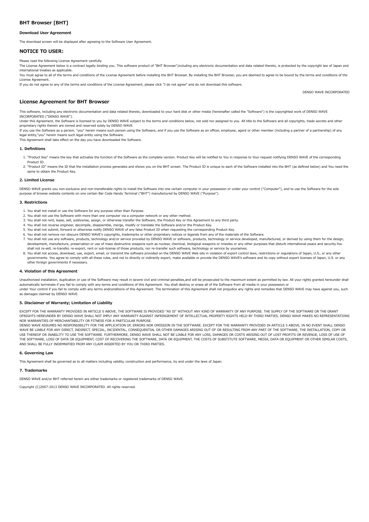# <span id="page-17-0"></span>BHT Browser [BHT]

#### Download User Agreement

The download screen will be displayed after agreeing to the Software User Agreement.

# NOTICE TO USER:

Please read the following License Agreement carefully.

The License Agreement below is a contract legally binding you. This software product of "BHT Browser",including any electronic documentation and data related thereto, is protected by the copyright law of Japan and international treaties as applicable.

You must agree to all of the terms and conditions of the License Agreement before installing the BHT Browser. By installing the BHT Browser, you are deemed to agree to be bound by the terms and conditions of the License Agreement.

If you do not agree to any of the terms and conditions of the License Agreement, please click "I do not agree" and do not download this software.

DENSO WAVE INCORPORATED

# License Agreement for BHT Browser

This software, including any electronic documentation and data related thereto, downloaded to your hard disk or other media (hereinafter called the "Software") is the copyrighted work of DENSO WAVE INCORPORATED ("DENSO WAVE").

Under this Agreement, the Software is licensed to you by DENSO WAVE subject to the terms and conditions below, not sold nor assigned to you. All title to the Software and all copyrights, trade secrets and other proprietary rights therein are owned and reserved solely by DENSO WAVE.

If you use the Software as a person, "you" herein means such person using the Software, and if you use the Software as an officer, employee, agent or other member (including a partner of a partnership) of any legal entity,"you" herein means such legal entity using the Software.

This Agreement shall take effect on the day you have downloaded the Software.

## 1. Definitions

- 1. "Product Key" means the key that activates the function of the Software as the complete version. Product Key will be notified to You in response to Your request notifying DENSO WAVE of the corresponding Product ID.
- 2. "Product ID" means the ID that the installation process generates and shows you on the BHT screen. The Product ID is unique to each of the Software installed into the BHT (as defined below) and You need the same to obtain the Product Key.

#### 2. Limited License

DENSO WAVE grants you non-exclusive and non-transferable rights to install the Software into one certain computer in your possession or under your control ("Computer"), and to use the Software for the sole purpose of browse website contents on one certain Bar Code Handy Terminal ("BHT") manufactured by DENSO WAVE ("Purpose").

#### 3. Restrictions

- 1. You shall not install or use the Software for any purpose other than Purpose.
- 2. You shall not use the Software with more than one computer via a computer network or any other method.
- 3. You shall not rent, lease, sell, sublicense, assign, or otherwise transfer the Software, the Product Key or this Agreement to any third party.
- 4. You shall not reverse engineer, decompile, disassemble, merge, modify or translate the Software and/or the Product Key. 5. You shall not submit, forward or otherwise notify DENSO WAVE of any false Product ID when requesting the corresponding Product Key.
- 6. You shall not remove nor obscure DENSO WAVE's copyrights, trademarks or other proprietary notices or legends from any of the materials of the Software.
- 7. You shall not use any software, products, technology and/or service provided by DENSO WAVE or software, products, technology or service developed, manufactured, or derived by using them for the design, development, manufacture, preservation or use of mass destructive weapons such as nuclear, chemical, biological weapons or missiles or any other purposes that disturb international peace and security.You shall not re-sell, re-transfer, re-export, rent or sub-license of those products, nor re-transfer such software, technology or service by yourselves.
- 8. You shall not access, download, use, export, email, or transmit the software provided on the DENSO WAVE Web site in violation of export control laws, restrictions or regulations of Japan, U.S., or any other governments. You agree to comply with all these rules, and not to directly or indirectly export, make available or provide the DENSO WAVE's software and its copy without export licenses of Japan, U.S. or any other foreign governments if necessary.

## 4. Violation of this Agreement

as damages claimed by DENSO WAVE.

Unauthorized installation, duplication or use of the Software may result in severe civil and criminal penalties,and will be prosecuted to the maximum extent as permitted by law. All your rights granted hereunder shall automatically terminate if you fail to comply with any terms and conditions of this Agreement. You shall destroy or erase all of the Software from all media in your possession or under Your control if you fail to comply with any terms andconditions of this Agreement. The termination of this Agreement shall not prejudice any rights and remedies that DENSO WAVE may have against you, such

## 5. Disclaimer of Warranty; Limitation of Liability

EXCEPT FOR THE WARRANTY PROVIDED IN ARTICLE 5 ABOVE, THE SOFTWARE IS PROVIDED "AS IS" WITHOUT ANY KIND OF WARRANTY OF ANY PURPOSE. THE SUPPLY OF THE SOFTWARE OR THE GRANT OFRIGHTS HEREUNDER BY DENSO WAVE SHALL NOT IMPLY ANY WARRANTY AGAINST INFRINGEMENT OF INTELLECTUAL PROPERTY RIGHTS HELD BY THIRD PARTIES. DENSO WAVE MAKES NO REPRESENTATIONS NOR WARRANTIES OF MERCHANTABILITY OR FITNESS FOR A PARTICULAR PURPOSE.

DENSO WAVE ASSUMES NO RESPONSIBILITY FOR THE APPLICATION OF, ERRORS NOR OMISSION IN THE SOFTWARE. EXCEPT FOR THE WARRANTY PROVIDED IN ARTICLE 5 ABOVE, IN NO EVENT SHALL DENSO WAVE BE LIABLE FOR ANY DIRECT, INDIRECT, SPECIAL, INCIDENTAL, CONSEQUENTIAL OR OTHER DAMAGES ARISING OUT OF OR RESULTING FROM ANY PART OF THE SOFTWARE, THE INSTALLATION, COPY OR USE THEREOF OR INABILITY TO USE THE SOFTWARE. FURTHERMORE, DENSO WAVE SHALL NOT BE LIABLE FOR ANY LOSS, DAMAGES OR COSTS ARISING OUT OF LOST PROFITS OR REVENUE, LOSS OF USE OF THE SOFTWARE, LOSS OF DATA OR EQUIPMENT, COST OF RECOVERING THE SOFTWARE, DATA OR EQUIPMENT, THE COSTS OF SUBSTITUTE SOFTWARE, MEDIA, DATA OR EQUIPMENT OR OTHER SIMILAR COSTS, AND SHALL BE FULLY INDEMNIFIED FROM ANY CLAIM ASSERTED BY YOU OR THIRD PARTIES.

## 6. Governing Law

This Agreement shall be governed as to all matters including validity, construction and performance, by and under the laws of Japan.

#### 7. Trademarks

DENSO WAVE and/or BHT referred herein are either trademarks or registered trademarks of DENSO WAVE.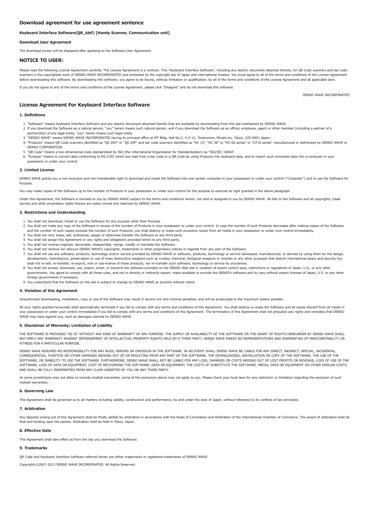## <span id="page-18-0"></span>Keyboard Interface Software(QR\_kbif) [Handy Scanner, Communication unit]

Download User Agreement

The download screen will be displayed after agreeing to the Software User Agreement.

## NOTICE TO USER:

Please read the following License Agreement carefully. The License Agreement is a contract. This "Keyboard Interface Software", including any electric document attached thereto, for OR Code scanners and bar code scanners is the copyrighted work of DENSO WAVE INCORPORATED and protected by the copyright law of Japan and international treaties. You must agree to all of the terms and conditions of the License Agreement before downloading this software. By downloading this software, you agree to be bound, without limitation or qualification, by all of the terms and conditions of the License Agreement and all applicable laws.

If you do not agree to any of the terms and conditions of the License Agreement, please click "Disagree" and do not download this software.

DENSO WAVE INCORPORATED

# License Agreement For Keyboard Interface Software

## 1. Definitions

- 1. "Software" means Keyboard Interface Software and any electric document attached thereto that are available by downloading from this site maintained by DENSO WAVE.
- 2. If you download the Software as a natural person, "you" herein means such natural person, and if you download the Software as an officer, employee, agent or other member (including a partner of a
- partnership) of any legal entity, "you" herein means such legal entity.
- 3. "DENSO WAVE" means DENSO WAVE INCORPORATED having its principal office at MT Bldg. Hall No.2, 4-2-12, Toranomon, Minato-ku, Tokyo, 105-0001 Japan.
- 4. "Products" means QR Code scanners identified as "QS 20H" or "QS 20P" and bar code scanners identified as "HC 15", "HC 36" or "HC 60 series" or "GT10 series" manufactured or distributed by DENSO WAVE or DENSO CORPORATION.
- 5. "QR Code" means a two dimensional code standardized by ISO (the International Organization for Standardization) as "ISO/IEC 18004".
- 6. "Purpose" means to convert data conforming to RS-232C which are read from a bar code or a QR Code by using Products into keyboard data, and to import such converted data into a computer in your possession or under your control.

## 2. Limited License

DENSO WAVE grants you a non-exclusive and non-transferable right to download and install the Software into one certain computer in your possession or under your control ("Computer") and to use the Software for Purpose.

ay make copies of the Software up to the number of Products in your possession or under your control for the purpose to exercise its right granted in the above paragraph.

Under this Agreement, the Software is licensed to you by DENSO WAVE subject to the terms and conditions herein, not sold or assigned to you by DENSO WAVE. All title to the Software and all copyrights, trade secrets and other proprietary rights therein are solely owned and reserved by DENSO WAVE.

#### 3. Restrictions and Understanding

- 1. You shall not download, install or use the Software for any purpose other than Purpose.
- 2. You shall not make any copy of the Software in excess of the number of Products in your possession or under your control. In case the number of such Products decreases after making copies of the Software and the number of such copies exceeds the number of such Products, you shall destroy or erase such excessive copies from all media in your possession or under your control immediately.
- 3. You shall not rent, lease, sell, sublicense, assign or otherwise transfer the Software to any third party.
- 4. You shall not assign this Agreement or any rights and obligations provided herein to any third party. 5. You shall not reverse engineer, decompile, disassemble, merge, modify or translate the Software.
- 6. You shall not remove nor obscure DENSO WAVE's copyrights, trademarks or other proprietary notices or legends from any part of the Software.
- 7. You shall not use any software, products, technology and/or service provided by DENSO WAVE or software, products, technology or service developed, manufactured, or derived by using them for the design, development, manufacture, preservation or use of mass destructive weapons such as nuclear, chemical, biological weapons or missiles or any other purposes that disturb international peace and security.You shall not re-sell, re-transfer, re-export, rent or sub-license of those products, nor re-transfer such software, technology or service by yourselves.
- 8. You shall not access, download, use, export, email, or transmit the software provided on the DENSO Web site in violation of export control laws, restrictions or regulations of Japan, U.S., or any other
- governments. You agree to comply with all these rules, and not to directly or indirectly export, make available or provide the DENSO's software and its copy without export licenses of Japan, U.S. or any other foreign governments if necessary.
- 9. You understand that the Software on the site is subject to change by DENSO WAVE at anytime without notice.

## 4. Violation of this Agreement

authorized downloading, installation, copy or use of the Software may result in severe civil and criminal penalties, and will be prosecuted to the maximum extent possible.

All your rights granted hereunder shall automatically terminate if you fail to comply with any terms and conditions of this Agreement. You shall destroy or erase the Software and all copies thereof from all media in your possession or under your control immediately if you fail to comply with any terms and conditions of this Agreement. The termination of this Agreement shall not prejudice any rights and remedies that DENSO WAVE may have against you, such as damages claimed by DENSO WAVE.

## 5. Disclaimer of Warranty; Limitation of Liability

THE SOFTWARE IS PROVIDED "AS IS" WITHOUT ANY KIND OF WARRANTY OF ANY PURPOSE. THE SUPPLY OR AVAILABILITY OF THE SOFTWARE OR THE GRANT OF RIGHTS HEREUNDER BY DENSO WAVE SHALL NOT IMPLY ANY WARRANTY AGAINST INFRINGEMENT OF INTELLECTUAL PROPERTY RIGHTS HELD BY A THIRD PARTY. DENSO WAVE MAKES NO REPRESENTATIONS AND WARRANTIES OF MERCHANTABILITY OR FITNESS FOR A PARTICULAR PURPOSE.

DENSO WAVE ASSUMES NO RESPONSIBILITY FOR ANY BUGS, ERRORS OR OMISSION IN THE SOFTWARE. IN NO EVENT SHALL DENSO WAVE BE LIABLE FOR ANY DIRECT, INDIRECT, SPECIAL, INCIDENTAL, CONSEQUENTIAL, PUNITIVE OR OTHER DAMAGES ARISING OUT OF OR RESULTING FROM ANY PART OF THE SOFTWARE, THE DOWNLOADING, INSTALLATION OR COPY OF THE SOFTWARE, THE USE OF THE SOFTWARE, OR INABILITY TO USE THE SOFTWARE. FURTHERMORE, DENSO WAVE SHALL NOT BE LIABLE FOR ANY LOSS, DAMAGES OR COSTS ARISING OUT OF LOST PROFITS OR REVENUE, LOSS OF USE OF THE SOFTWARE, LOSS OF DATA OR EQUIPMENT, COST OF RECOVERING THE SOFTWARE, DATA OR EQUIPMENT, THE COSTS OF SUBSTITUTE THE SOFTWARE, MEDIA, DATA OR EQUIPMENT OR OTHER SIMILAR COSTS, AND SHALL BE FULLY INDEMNIFIED FROM ANY CLAIM ASSERTED BY YOU OR ANY THIRD PARTY.

As some jurisdictions may not allow to exclude implied warranties, some of the exclusions above may not apply to you. Please check your local laws for any restriction or limitation regarding the exclusion of such implied warranties

## 6. Governing Law

This Agreement shall be governed as to all matters including validity, construction and performance, by and under the laws of Japan, without reference to its conflicts of law principles

## 7. Arbitration

Any disputes arising out of this Agreement shall be finally settled by arbitration in accordance with the Rules of Conciliation and Arbitration of the International Chamber of Commerce. The award of arbitration shall be final and binding upon the parties. Arbitration shall be held in Tokyo, Japan.

## 8. Effective Date

This Agreement shall take effect as from the day you download the Software.

# 9. Trademarks

QR Code and Keyboard Interface Software referred herein are either trademarks or registered trademarks of DENSO WAVE.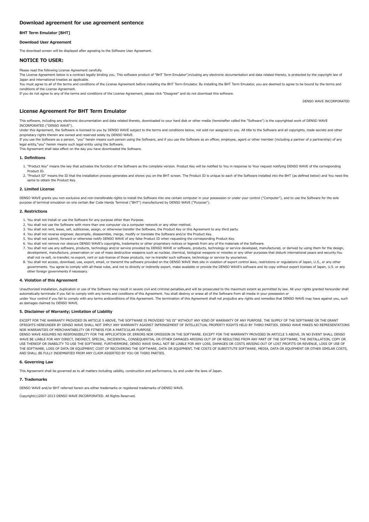## <span id="page-19-0"></span>BHT Term Emulator [BHT]

#### Download User Agreement

The download screen will be displayed after agreeing to the Software User Agreement.

## NOTICE TO USER:

Please read the following License Agreement carefully.

The License Agreement below is a contract legally binding you. This software product of "BHT Term Emulator",including any electronic documentation and data related thereto, is protected by the copyright law of Japan and international treaties as applicable.

You must agree to all of the terms and conditions of the License Agreement before installing the BHT Term Emulator. By installing the BHT Term Emulator, you are deemed to agree to be bound by the terms and conditions of the License Agreement.

If you do not agree to any of the terms and conditions of the License Agreement, please click "Disagree" and do not download this software.

DENSO WAVE INCORPORATED

# License Agreement For BHT Term Emulator

This software, including any electronic documentation and data related thereto, downloaded to your hard disk or other media (hereinafter called the "Software") is the copyrighted work of DENSO WAVE INCORPORATED ("DENSO WAVE").

Under this Agreement, the Software is licensed to you by DENSO WAVE subject to the terms and conditions below, not sold nor assigned to you. All title to the Software and all copyrights, trade secrets and other proprietary rights therein are owned and reserved solely by DENSO WAVE.

If you use the Software as a person, "you" herein means such person using the Software, and if you use the Software as an officer, employee, agent or other member (including a partner of a partnership) of any legal entity,"you" herein means such legal entity using the Software.

This Agreement shall take effect on the day you have downloaded the Software.

## 1. Definitions

- 1. "Product Key" means the key that activates the function of the Software as the complete version. Product Key will be notified to You in response to Your request notifying DENSO WAVE of the corresponding Product ID.
- 2. "Product ID" means the ID that the installation process generates and shows you on the BHT screen. The Product ID is unique to each of the Software installed into the BHT (as defined below) and You need the same to obtain the Product Key.

## 2. Limited License

DENSO WAVE grants you non-exclusive and non-transferable rights to install the Software into one certain computer in your possession or under your control ("Computer"), and to use the Software for the sole purpose of terminal emulation on one certain Bar Code Handy Terminal ("BHT") manufactured by DENSO WAVE ("Purpose").

## 2. Restrictions

- 1. You shall not install or use the Software for any purpose other than Purpose.
- 2. You shall not use the Software with more than one computer via a computer network or any other method.
- 3. You shall not rent, lease, sell, sublicense, assign, or otherwise transfer the Software, the Product Key or this Agreement to any third party.
- 4. You shall not reverse engineer, decompile, disassemble, merge, modify or translate the Software and/or the Product Key. 5. You shall not submit, forward or otherwise notify DENSO WAVE of any false Product ID when requesting the corresponding Product Key.
- 6. You shall not remove nor obscure DENSO WAVE's copyrights, trademarks or other proprietary notices or legends from any of the materials of the Software.
- 7. You shall not use any software, products, technology and/or service provided by DENSO WAVE or software, products, technology or service developed, manufactured, or derived by using them for the design, development, manufacture, preservation or use of mass destructive weapons such as nuclear, chemical, biological weapons or missiles or any other purposes that disturb international peace and security.You shall not re-sell, re-transfer, re-export, rent or sub-license of those products, nor re-transfer such software, technology or service by yourselves.
- 8. You shall not access, download, use, export, email, or transmit the software provided on the DENSO WAVE Web site in violation of export control laws, restrictions or regulations of Japan, U.S., or any other governments. You agree to comply with all these rules, and not to directly or indirectly export, make available or provide the DENSO WAVE's software and its copy without export licenses of Japan, U.S. or any other foreign governments if necessary.

#### 4. Violation of this Agreement

Unauthorized installation, duplication or use of the Software may result in severe civil and criminal penalties,and will be prosecuted to the maximum extent as permitted by law. All your rights granted hereunder shall automatically terminate if you fail to comply with any terms and conditions of this Agreement. You shall destroy or erase all of the Software from all media in your possession or under Your control if you fail to comply with any terms andconditions of this Agreement. The termination of this Agreement shall not prejudice any rights and remedies that DENSO WAVE may have against you, such as damages claimed by DENSO WAVE.

## 5. Disclaimer of Warranty; Limitation of Liability

EXCEPT FOR THE WARRANTY PROVIDED IN ARTICLE 5 ABOVE, THE SOFTWARE IS PROVIDED "AS IS" WITHOUT ANY KIND OF WARRANTY OF ANY PURPOSE. THE SUPPLY OF THE SOFTWARE OR THE GRANT OFRIGHTS HEREUNDER BY DENSO WAVE SHALL NOT IMPLY ANY WARRANTY AGAINST INFRINGEMENT OF INTELLECTUAL PROPERTY RIGHTS HELD BY THIRD PARTIES. DENSO WAVE MAKES NO REPRESENTATIONS NOR WARRANTIES OF MERCHANTABILITY OR FITNESS FOR A PARTICULAR PURPOSE.

DENSO WAVE ASSUMES NO RESPONSIBILITY FOR THE APPLICATION OF, ERRORS NOR OMISSION IN THE SOFTWARE. EXCEPT FOR THE WARRANTY PROVIDED IN ARTICLE 5 ABOVE, IN NO EVENT SHALL DENSO WAVE BE LIABLE FOR ANY DIRECT, INDIRECT, SPECIAL, INCIDENTAL, CONSEQUENTIAL OR OTHER DAMAGES ARISING OUT OF OR RESULTING FROM ANY PART OF THE SOFTWARE, THE INSTALLATION, COPY OR USE THEREOF OR INABILITY TO USE THE SOFTWARE, FURTHERMORE, DENSO WAVE SHALL NOT BE LIABLE FOR ANY LOSS, DAMAGES OR COSTS ARISING OUT OF LOST PROFITS OR REVENUE, LOSS OF USE OF THE SOFTWARE, LOSS OF DATA OR EQUIPMENT, COST OF RECOVERING THE SOFTWARE, DATA OR EQUIPMENT, THE COSTS OF SUBSTITUTE SOFTWARE, MEDIA, DATA OR EQUIPMENT OR OTHER SIMILAR COSTS, AND SHALL BE FULLY INDEMNIFIED FROM ANY CLAIM ASSERTED BY YOU OR THIRD PARTIES.

#### 6. Governing Law

This Agreement shall be governed as to all matters including validity, construction and performance, by and under the laws of Japan.

#### 7. Trademarks

DENSO WAVE and/or BHT referred herein are either trademarks or registered trademarks of DENSO WAVE.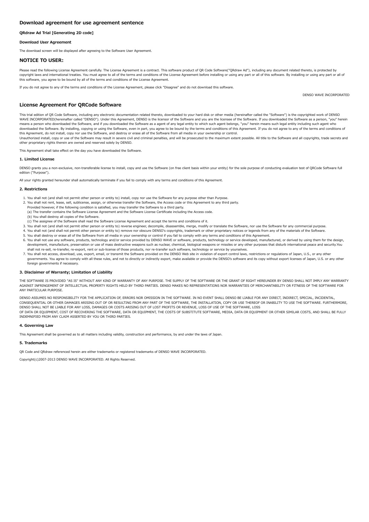# <span id="page-20-0"></span>QRdraw Ad Trial [Generating 2D code]

## Download User Agreement

The download screen will be displayed after agreeing to the Software User Agreement.

# NOTICE TO USER:

Please read the following License Agreement carefully. The License Agreement is a contract. This software product of OR Code Software("ORdraw Ad"), including any document related thereto, is protected by copyright laws and international treaties. You must agree to all of the terms and conditions of the License Agreement before installing or using any part or all of this software. By installing or using any part or all of this software, you agree to be bound by all of the terms and conditions of the License Agreement.

If you do not agree to any of the terms and conditions of the License Agreement, please click "Disagree" and do not download this software.

DENSO WAVE INCORPORATED

# License Agreement For QRCode Software

This trial edition of QR Code Software, including any electronic documentation related thereto, downloaded to your hard disk or other media (hereinafter called the "Software") is the copyrighted work of DENSO WAVE INCORPORATED(hereinafter called "DENSO"). Under this Agreement, DENSO is the licensor of the Software and you are the licensee of the Software. If you downloaded the Software as a person, "you" herein means a person who downloaded the Software, and if you downloaded the Software as a agent of any legal entity to which such agent belongs, "you" herein means such legal entity including such agent who downloaded the Software. By installing, copying or using the Software, even in part, you agree to be bound by the terms and conditions of this Agreement. If you do not agree to any of the terms and conditions of<br>this Agree

Unauthorized install, copy or use of the Software may result in severe civil and criminal penalties, and will be prosecuted to the maximum extent possible. All title to the Software and all copyrights, trade secrets and other proprietary rights therein are owned and reserved solely by DENSO.

This Agreement shall take effect on the day you have downloaded the Software.

#### 1. Limited License

DENSO grants you a non-exclusive, non-transferable license to install, copy and use the Software (on free client basis within your entity) for the sole purpose of conducting evaluation test of QRCode Software full edition ("Purpose").

All your rights granted hereunder shall automatically terminate if you fail to comply with any terms and conditions of this Agreement.

#### 2. Restrictions

- 1. You shall not (and shall not permit other person or entity to) install, copy nor use the Software for any purpose other than Purpose.
- 2. You shall not rent, lease, sell, sublicense, assign, or otherwise transfer the Software, the Access code or this Agreement to any third party.
- Provided however, if the following condition is satisfied, you may transfer the Software to a third party. (a) The transfer contains the Software License Agreement and the Software License Certificate including the Access code.
- (b) You shall destroy all copies of the Software.
- (c) The assignee of the Software shall read the Software License Agreement and accept the terms and conditions of it.
- 3. You shall not (and shall not permit other person or entity to) reverse engineer, decompile, disassemble, merge, modify or translate the Software, nor use the Software for any commercial purpose.
- 4. You shall not (and shall not permit other person or entity to) remove nor obscure DENSO's copyrights, trademark or other proprietary notices or legends from any of the materials of the Software.
- 5. You shall destroy or erase all of the Software from all media in your ownership or control if you fail to comply with any terms and conditions of this Agreement.
- 6. You shall not use any software, products, technology and/or service provided by DENSO WAVE or software, products, technology or service developed, manufactured, or derived by using them for the design, development, manufacture, preservation or use of mass destructive weapons such as nuclear, chemical, biological weapons or missiles or any other purposes that disturb international peace and security.You shall not re-sell, re-transfer, re-export, rent or sub-license of those products, nor re-transfer such software, technology or service by yourselves.
- 7. You shall not access, download, use, export, email, or transmit the Software provided on the DENSO Web site in violation of export control laws, restrictions or regulations of Japan, U.S., or any other governments. You agree to comply with all these rules, and not to directly or indirectly export, make available or provide the DENSO's software and its copy without export licenses of Japan, U.S. or any other foreign governments if necessary.

#### 3. Disclaimer of Warranty; Limitation of Liability

THE SOFTWARE IS PROVIDED "AS IS" WITHOUT ANY KIND OF WARRANTY OF ANY PURPOSE. THE SUPPLY OF THE SOFTWARE OR THE GRANT OF RIGHT HEREUNDER BY DENSO SHALL NOT IMPLY ANY WARRANTY AGAINST INFRINGEMENT OF INTELLECTUAL PROPERTY RIGHTS HELD BY THIRD PARTIES. DENSO MAKES NO REPRESENTATIONS NOR WARRANTIES OF MERCHANTABILITY OR FITNESS OF THE SOFTWARE FOR ANY PARTICULAR PURPOSE.

DENSO ASSUMES NO RESPONSIBILITY FOR THE APPLICATION OF, ERRORS NOR OMISSION IN THE SOFTWARE. IN NO EVENT SHALL DENSO BE LIABLE FOR ANY DIRECT, INDIRECT, SPECIAL, INCIDENTAL, CONSEQUENTIAL OR OTHER DAMAGES ARISING OUT OF OR RESULTING FROM ANY PART OF THE SOFTWARE, THE INSTALLATION, COPY OR USE THEREOF OR INABILITY TO USE THE SOFTWARE. FURTHERMORE,<br>DENSO SHALL NOT BE LIABLE FOR ANY LOSS, DAMAGES OF DATA OR EQUIPMENT, COST OF RECOVERING THE SOFTWARE, DATA OR EQUIPMENT, THE COSTS OF SUBSTITUTE SOFTWARE, MEDIA, DATA OR EQUIPMENT OR OTHER SIMILAR COSTS, AND SHALL BE FULLY INDEMNIFIED FROM ANY CLAIM ASSERTED BY YOU OR THIRD PARTIES.

## 4. Governing Law

This Agreement shall be governed as to all matters including validity, construction and performance, by and under the laws of Japan.

## 5. Trademarks

QR Code and QRdraw referenced herein are either trademarks or registered trademarks of DENSO WAVE INCORPORATED.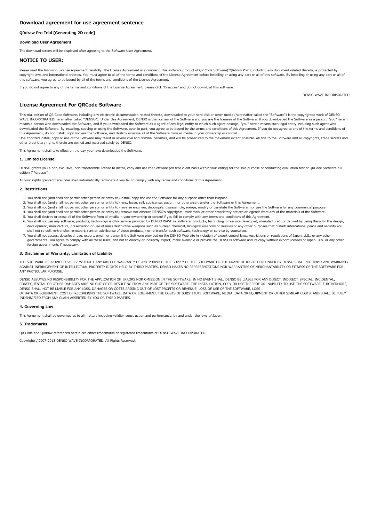# <span id="page-21-0"></span>QRdraw Pro Trial [Generating 2D code]

# Download User Agreement

The download screen will be displayed after agreeing to the Software User Agreement.

# NOTICE TO USER:

Please read the following License Agreement carefully. The License Agreement is a contract. This software product of OR Code Software("ORdraw Pro"), including any document related thereto, is protected by copyright laws and international treaties. You must agree to all of the terms and conditions of the License Agreement before installing or using any part or all of this software. By installing or using any part or all of this software, you agree to be bound by all of the terms and conditions of the License Agreement.

If you do not agree to any of the terms and conditions of the License Agreement, please click "Disagree" and do not download this software.

DENSO WAVE INCORPORATED

# License Agreement For QRCode Software

This trial edition of QR Code Software, including any electronic documentation related thereto, downloaded to your hard disk or other media (hereinafter called the "Software") is the copyrighted work of DENSO WAVE INCORPORATED(hereinafter called "DENSO"). Under this Agreement, DENSO is the licensor of the Software and you are the licensee of the Software. If you downloaded the Software as a person, "you" herein means a person who downloaded the Software, and if you downloaded the Software as a agent of any legal entity to which such agent belongs, "you" herein means such legal entity including such agent who downloaded the Software. By installing, copying or using the Software, even in part, you agree to be bound by the terms and conditions of this Agreement. If you do not agree to any of the terms and conditions of<br>this Agree

Unauthorized install, copy or use of the Software may result in severe civil and criminal penalties, and will be prosecuted to the maximum extent possible. All title to the Software and all copyrights, trade secrets and other proprietary rights therein are owned and reserved solely by DENSO.

This Agreement shall take effect on the day you have downloaded the Software.

#### 1. Limited License

DENSO grants you a non-exclusive, non-transferable license to install, copy and use the Software (on free client basis within your entity) for the sole purpose of conducting evaluation test of QRCode Software full edition ("Purpose").

All your rights granted hereunder shall automatically terminate if you fail to comply with any terms and conditions of this Agreement.

#### 2. Restrictions

- 1. You shall not (and shall not permit other person or entity to) install, copy nor use the Software for any purpose other than Purpose.
- 2. You shall not (and shall not permit other person or entity to) rent, lease, sell, sublicense, assign, nor otherwise transfer the Software or this Agreement.
- 3. You shall not (and shall not permit other person or entity to) reverse engineer, decompile, disassemble, merge, modify or translate the Software, nor use the Software for any commercial purpose.
- 4. You shall not (and shall not permit other person or entity to) remove nor obscure DENSO's copyrights, trademark or other proprietary notices or legends from any of the materials of the Software.
- 5. You shall destroy or erase all of the Software from all media in your ownership or control if you fail to comply with any terms and conditions of this Agreement.
- 6. You shall not use any software, products, technology and/or service provided by DENSO WAVE or software, products, technology or service developed, manufactured, or derived by using them for the design, development, manufacture, preservation or use of mass destructive weapons such as nuclear, chemical, biological weapons or missiles or any other purposes that disturb international peace and security.You shall not re-sell, re-transfer, re-export, rent or sub-license of those products, nor re-transfer such software, technology or service by yourselves.
- 7. You shall not access, download, use, export, email, or transmit the Software provided on the DENSO Web site in violation of export control laws, restrictions or regulations of Japan, U.S., or any other governments. You agree to comply with all these rules, and not to directly or indirectly export, make available or provide the DENSO's software and its copy without export licenses of Japan, U.S. or any other foreign governments if necessary.

#### 3. Disclaimer of Warranty; Limitation of Liability

THE SOFTWARE IS PROVIDED "AS IS" WITHOUT ANY KIND OF WARRANTY OF ANY PURPOSE. THE SUPPLY OF THE SOFTWARE OR THE GRANT OF RIGHT HEREUNDER BY DENSO SHALL NOT IMPLY ANY WARRANTY AGAINST INFRINGEMENT OF INTELLECTUAL PROPERTY RIGHTS HELD BY THIRD PARTIES. DENSO MAKES NO REPRESENTATIONS NOR WARRANTIES OF MERCHANTABILITY OR FITNESS OF THE SOFTWARE FOR ANY PARTICULAR PURPOSE.

DENSO ASSUMES NO RESPONSIBILITY FOR THE APPLICATION OF, ERRORS NOR OMISSION IN THE SOFTWARE. IN NO EVENT SHALL DENSO BE LIABLE FOR ANY DIRECT, INDIRECT, SPECIAL, INCIDENTAL, CONSEQUENTIAL OR OTHER DAMAGES ARISING OUT OF OR RESULTING FROM ANY PART OF THE SOFTWARE, THE INSTALLATION, COPY OR USE THEREOF OR INABILITY TO USE THE SOFTWARE. FURTHERMORE,<br>DENSO SHALL NOT BE LIABLE FOR ANY LOSS, DAMAGES OF DATA OR EQUIPMENT, COST OF RECOVERING THE SOFTWARE, DATA OR EQUIPMENT, THE COSTS OF SUBSTITUTE SOFTWARE, MEDIA, DATA OR EQUIPMENT OR OTHER SIMILAR COSTS, AND SHALL BE FULLY INDEMNIFIED FROM ANY CLAIM ASSERTED BY YOU OR THIRD PARTIES.

## 4. Governing Law

This Agreement shall be governed as to all matters including validity, construction and performance, by and under the laws of Japan.

#### 5. Trademarks

QR Code and QRdraw referenced herein are either trademarks or registered trademarks of DENSO WAVE INCORPORATED.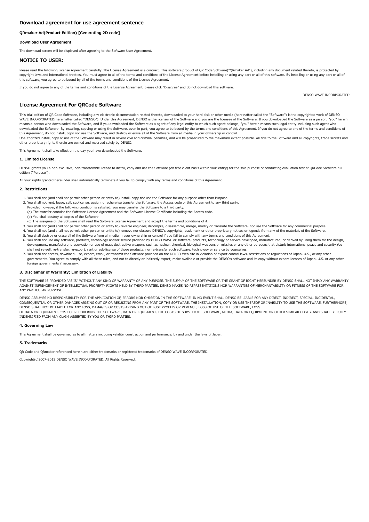## <span id="page-22-0"></span>QRmaker Ad(Product Edition) [Generating 2D code]

## Download User Agreement

The download screen will be displayed after agreeing to the Software User Agreement.

# NOTICE TO USER:

Please read the following License Agreement carefully. The License Agreement is a contract. This software product of OR Code Software("ORmaker Ad"), including any document related thereto, is protected by copyright laws and international treaties. You must agree to all of the terms and conditions of the License Agreement before installing or using any part or all of this software. By installing or using any part or all of this software, you agree to be bound by all of the terms and conditions of the License Agreement.

If you do not agree to any of the terms and conditions of the License Agreement, please click "Disagree" and do not download this software.

DENSO WAVE INCORPORATED

# License Agreement For QRCode Software

This trial edition of QR Code Software, including any electronic documentation related thereto, downloaded to your hard disk or other media (hereinafter called the "Software") is the copyrighted work of DENSO WAVE INCORPORATED(hereinafter called "DENSO"). Under this Agreement, DENSO is the licensor of the Software and you are the licensee of the Software. If you downloaded the Software as a person, "you" herein means a person who downloaded the Software, and if you downloaded the Software as a agent of any legal entity to which such agent belongs, "you" herein means such legal entity including such agent who downloaded the Software. By installing, copying or using the Software, even in part, you agree to be bound by the terms and conditions of this Agreement. If you do not agree to any of the terms and conditions of<br>this Agree

Unauthorized install, copy or use of the Software may result in severe civil and criminal penalties, and will be prosecuted to the maximum extent possible. All title to the Software and all copyrights, trade secrets and other proprietary rights therein are owned and reserved solely by DENSO.

This Agreement shall take effect on the day you have downloaded the Software.

#### 1. Limited License

DENSO grants you a non-exclusive, non-transferable license to install, copy and use the Software (on free client basis within your entity) for the sole purpose of conducting evaluation test of QRCode Software full edition ("Purpose").

All your rights granted hereunder shall automatically terminate if you fail to comply with any terms and conditions of this Agreement.

#### 2. Restrictions

- 1. You shall not (and shall not permit other person or entity to) install, copy nor use the Software for any purpose other than Purpose.
- 2. You shall not rent, lease, sell, sublicense, assign, or otherwise transfer the Software, the Access code or this Agreement to any third party.
- Provided however, if the following condition is satisfied, you may transfer the Software to a third party. (a) The transfer contains the Software License Agreement and the Software License Certificate including the Access code.
- (b) You shall destroy all copies of the Software.
- (c) The assignee of the Software shall read the Software License Agreement and accept the terms and conditions of it.
- 3. You shall not (and shall not permit other person or entity to) reverse engineer, decompile, disassemble, merge, modify or translate the Software, nor use the Software for any commercial purpose.
- 4. You shall not (and shall not permit other person or entity to) remove nor obscure DENSO's copyrights, trademark or other proprietary notices or legends from any of the materials of the Software.
- 5. You shall destroy or erase all of the Software from all media in your ownership or control if you fail to comply with any terms and conditions of this Agreement.
- 6. You shall not use any software, products, technology and/or service provided by DENSO WAVE or software, products, technology or service developed, manufactured, or derived by using them for the design, development, manufacture, preservation or use of mass destructive weapons such as nuclear, chemical, biological weapons or missiles or any other purposes that disturb international peace and security.You shall not re-sell, re-transfer, re-export, rent or sub-license of those products, nor re-transfer such software, technology or service by yourselves.
- 7. You shall not access, download, use, export, email, or transmit the Software provided on the DENSO Web site in violation of export control laws, restrictions or regulations of Japan, U.S., or any other governments. You agree to comply with all these rules, and not to directly or indirectly export, make available or provide the DENSO's software and its copy without export licenses of Japan, U.S. or any other foreign governments if necessary.

#### 3. Disclaimer of Warranty; Limitation of Liability

THE SOFTWARE IS PROVIDED "AS IS" WITHOUT ANY KIND OF WARRANTY OF ANY PURPOSE. THE SUPPLY OF THE SOFTWARE OR THE GRANT OF RIGHT HEREUNDER BY DENSO SHALL NOT IMPLY ANY WARRANTY AGAINST INFRINGEMENT OF INTELLECTUAL PROPERTY RIGHTS HELD BY THIRD PARTIES. DENSO MAKES NO REPRESENTATIONS NOR WARRANTIES OF MERCHANTABILITY OR FITNESS OF THE SOFTWARE FOR ANY PARTICULAR PURPOSE.

DENSO ASSUMES NO RESPONSIBILITY FOR THE APPLICATION OF, ERRORS NOR OMISSION IN THE SOFTWARE. IN NO EVENT SHALL DENSO BE LIABLE FOR ANY DIRECT, INDIRECT, SPECIAL, INCIDENTAL, CONSEQUENTIAL OR OTHER DAMAGES ARISING OUT OF OR RESULTING FROM ANY PART OF THE SOFTWARE, THE INSTALLATION, COPY OR USE THEREOF OR INABILITY TO USE THE SOFTWARE. FURTHERMORE,<br>DENSO SHALL NOT BE LIABLE FOR ANY LOSS, DAMAGES OF DATA OR EQUIPMENT, COST OF RECOVERING THE SOFTWARE, DATA OR EQUIPMENT, THE COSTS OF SUBSTITUTE SOFTWARE, MEDIA, DATA OR EQUIPMENT OR OTHER SIMILAR COSTS, AND SHALL BE FULLY INDEMNIFIED FROM ANY CLAIM ASSERTED BY YOU OR THIRD PARTIES.

## 4. Governing Law

This Agreement shall be governed as to all matters including validity, construction and performance, by and under the laws of Japan.

## 5. Trademarks

QR Code and QRmaker referenced herein are either trademarks or registered trademarks of DENSO WAVE INCORPORATED.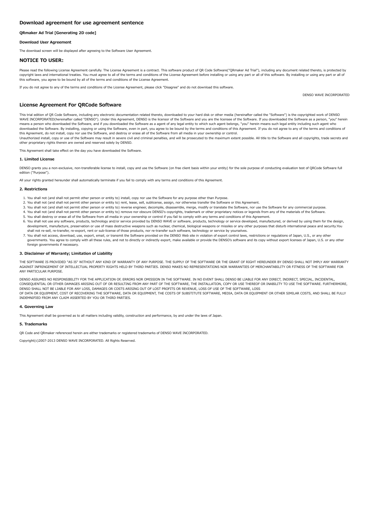# <span id="page-23-0"></span>QRmaker Ad Trial [Generating 2D code]

## Download User Agreement

The download screen will be displayed after agreeing to the Software User Agreement.

# NOTICE TO USER:

Please read the following License Agreement carefully. The License Agreement is a contract. This software product of OR Code Software("ORmaker Ad Trial"), including any document related thereto, is protected by copyright laws and international treaties. You must agree to all of the terms and conditions of the License Agreement before installing or using any part or all of this software. By installing or using any part or all of this software, you agree to be bound by all of the terms and conditions of the License Agreement.

If you do not agree to any of the terms and conditions of the License Agreement, please click "Disagree" and do not download this software.

DENSO WAVE INCORPORATED

## License Agreement For QRCode Software

This trial edition of QR Code Software, including any electronic documentation related thereto, downloaded to your hard disk or other media (hereinafter called the "Software") is the copyrighted work of DENSO WAVE INCORPORATED(hereinafter called "DENSO"). Under this Agreement, DENSO is the licensor of the Software and you are the licensee of the Software. If you downloaded the Software as a person, "you" herein means a person who downloaded the Software, and if you downloaded the Software as a agent of any legal entity to which such agent belongs, "you" herein means such legal entity including such agent who downloaded the Software. By installing, copying or using the Software, even in part, you agree to be bound by the terms and conditions of this Agreement. If you do not agree to any of the terms and conditions of<br>this Agree

Unauthorized install, copy or use of the Software may result in severe civil and criminal penalties, and will be prosecuted to the maximum extent possible. All title to the Software and all copyrights, trade secrets and other proprietary rights therein are owned and reserved solely by DENSO.

This Agreement shall take effect on the day you have downloaded the Software.

#### 1. Limited License

DENSO grants you a non-exclusive, non-transferable license to install, copy and use the Software (on free client basis within your entity) for the sole purpose of conducting evaluation test of QRCode Software full edition ("Purpose").

All your rights granted hereunder shall automatically terminate if you fail to comply with any terms and conditions of this Agreement.

#### 2. Restrictions

- 1. You shall not (and shall not permit other person or entity to) install, copy nor use the Software for any purpose other than Purpose.
- 2. You shall not (and shall not permit other person or entity to) rent, lease, sell, sublicense, assign, nor otherwise transfer the Software or this Agreement.
- 3. You shall not (and shall not permit other person or entity to) reverse engineer, decompile, disassemble, merge, modify or translate the Software, nor use the Software for any commercial purpose.
- 4. You shall not (and shall not permit other person or entity to) remove nor obscure DENSO's copyrights, trademark or other proprietary notices or legends from any of the materials of the Software.
- 5. You shall destroy or erase all of the Software from all media in your ownership or control if you fail to comply with any terms and conditions of this Agreement.
- 6. You shall not use any software, products, technology and/or service provided by DENSO WAVE or software, products, technology or service developed, manufactured, or derived by using them for the design, development, manufacture, preservation or use of mass destructive weapons such as nuclear, chemical, biological weapons or missiles or any other purposes that disturb international peace and security.You shall not re-sell, re-transfer, re-export, rent or sub-license of those products, nor re-transfer such software, technology or service by yourselves.
- 7. You shall not access, download, use, export, email, or transmit the Software provided on the DENSO Web site in violation of export control laws, restrictions or regulations of Japan, U.S., or any other governments. You agree to comply with all these rules, and not to directly or indirectly export, make available or provide the DENSO's software and its copy without export licenses of Japan, U.S. or any other foreign governments if necessary.

#### 3. Disclaimer of Warranty; Limitation of Liability

THE SOFTWARE IS PROVIDED "AS IS" WITHOUT ANY KIND OF WARRANTY OF ANY PURPOSE. THE SUPPLY OF THE SOFTWARE OR THE GRANT OF RIGHT HEREUNDER BY DENSO SHALL NOT IMPLY ANY WARRANTY AGAINST INFRINGEMENT OF INTELLECTUAL PROPERTY RIGHTS HELD BY THIRD PARTIES. DENSO MAKES NO REPRESENTATIONS NOR WARRANTIES OF MERCHANTABILITY OR FITNESS OF THE SOFTWARE FOR ANY PARTICULAR PURPOSE.

DENSO ASSUMES NO RESPONSIBILITY FOR THE APPLICATION OF, ERRORS NOR OMISSION IN THE SOFTWARE. IN NO EVENT SHALL DENSO BE LIABLE FOR ANY DIRECT, INDIRECT, SPECIAL, INCIDENTAL, CONSEQUENTIAL OR OTHER DAMAGES ARISING OUT OF OR RESULTING FROM ANY PART OF THE SOFTWARE, THE INSTALLATION, COPY OR USE THEREOF OR INABILITY TO USE THE SOFTWARE. FURTHERMORE,<br>DENSO SHALL NOT BE LIABLE FOR ANY LOSS, DAMAGES OF DATA OR EQUIPMENT, COST OF RECOVERING THE SOFTWARE, DATA OR EQUIPMENT, THE COSTS OF SUBSTITUTE SOFTWARE, MEDIA, DATA OR EQUIPMENT OR OTHER SIMILAR COSTS, AND SHALL BE FULLY INDEMNIFIED FROM ANY CLAIM ASSERTED BY YOU OR THIRD PARTIES.

## 4. Governing Law

This Agreement shall be governed as to all matters including validity, construction and performance, by and under the laws of Japan.

#### 5. Trademarks

QR Code and QRmaker referenced herein are either trademarks or registered trademarks of DENSO WAVE INCORPORATED.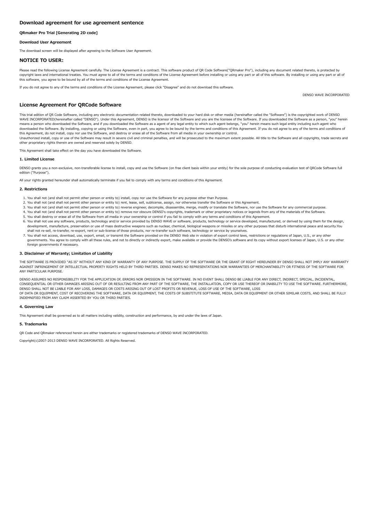# <span id="page-24-0"></span>QRmaker Pro Trial [Generating 2D code]

## Download User Agreement

The download screen will be displayed after agreeing to the Software User Agreement.

# NOTICE TO USER:

Please read the following License Agreement carefully. The License Agreement is a contract. This software product of OR Code Software("ORmaker Pro"), including any document related thereto, is protected by copyright laws and international treaties. You must agree to all of the terms and conditions of the License Agreement before installing or using any part or all of this software. By installing or using any part or all of this software, you agree to be bound by all of the terms and conditions of the License Agreement.

If you do not agree to any of the terms and conditions of the License Agreement, please click "Disagree" and do not download this software.

DENSO WAVE INCORPORATED

# License Agreement For QRCode Software

This trial edition of QR Code Software, including any electronic documentation related thereto, downloaded to your hard disk or other media (hereinafter called the "Software") is the copyrighted work of DENSO WAVE INCORPORATED(hereinafter called "DENSO"). Under this Agreement, DENSO is the licensor of the Software and you are the licensee of the Software. If you downloaded the Software as a person, "you" herein means a person who downloaded the Software, and if you downloaded the Software as a agent of any legal entity to which such agent belongs, "you" herein means such legal entity including such agent who downloaded the Software. By installing, copying or using the Software, even in part, you agree to be bound by the terms and conditions of this Agreement. If you do not agree to any of the terms and conditions of<br>this Agree

Unauthorized install, copy or use of the Software may result in severe civil and criminal penalties, and will be prosecuted to the maximum extent possible. All title to the Software and all copyrights, trade secrets and other proprietary rights therein are owned and reserved solely by DENSO.

This Agreement shall take effect on the day you have downloaded the Software.

#### 1. Limited License

DENSO grants you a non-exclusive, non-transferable license to install, copy and use the Software (on free client basis within your entity) for the sole purpose of conducting evaluation test of QRCode Software full edition ("Purpose").

All your rights granted hereunder shall automatically terminate if you fail to comply with any terms and conditions of this Agreement.

#### 2. Restrictions

- 1. You shall not (and shall not permit other person or entity to) install, copy nor use the Software for any purpose other than Purpose.
- 2. You shall not (and shall not permit other person or entity to) rent, lease, sell, sublicense, assign, nor otherwise transfer the Software or this Agreement.
- 3. You shall not (and shall not permit other person or entity to) reverse engineer, decompile, disassemble, merge, modify or translate the Software, nor use the Software for any commercial purpose.
- 4. You shall not (and shall not permit other person or entity to) remove nor obscure DENSO's copyrights, trademark or other proprietary notices or legends from any of the materials of the Software.
- 5. You shall destroy or erase all of the Software from all media in your ownership or control if you fail to comply with any terms and conditions of this Agreement.
- 6. You shall not use any software, products, technology and/or service provided by DENSO WAVE or software, products, technology or service developed, manufactured, or derived by using them for the design, development, manufacture, preservation or use of mass destructive weapons such as nuclear, chemical, biological weapons or missiles or any other purposes that disturb international peace and security.You shall not re-sell, re-transfer, re-export, rent or sub-license of those products, nor re-transfer such software, technology or service by yourselves.
- 7. You shall not access, download, use, export, email, or transmit the Software provided on the DENSO Web site in violation of export control laws, restrictions or regulations of Japan, U.S., or any other governments. You agree to comply with all these rules, and not to directly or indirectly export, make available or provide the DENSO's software and its copy without export licenses of Japan, U.S. or any other foreign governments if necessary.

#### 3. Disclaimer of Warranty; Limitation of Liability

THE SOFTWARE IS PROVIDED "AS IS" WITHOUT ANY KIND OF WARRANTY OF ANY PURPOSE. THE SUPPLY OF THE SOFTWARE OR THE GRANT OF RIGHT HEREUNDER BY DENSO SHALL NOT IMPLY ANY WARRANTY AGAINST INFRINGEMENT OF INTELLECTUAL PROPERTY RIGHTS HELD BY THIRD PARTIES. DENSO MAKES NO REPRESENTATIONS NOR WARRANTIES OF MERCHANTABILITY OR FITNESS OF THE SOFTWARE FOR ANY PARTICULAR PURPOSE.

DENSO ASSUMES NO RESPONSIBILITY FOR THE APPLICATION OF, ERRORS NOR OMISSION IN THE SOFTWARE. IN NO EVENT SHALL DENSO BE LIABLE FOR ANY DIRECT, INDIRECT, SPECIAL, INCIDENTAL, CONSEQUENTIAL OR OTHER DAMAGES ARISING OUT OF OR RESULTING FROM ANY PART OF THE SOFTWARE, THE INSTALLATION, COPY OR USE THEREOF OR INABILITY TO USE THE SOFTWARE. FURTHERMORE,<br>DENSO SHALL NOT BE LIABLE FOR ANY LOSS, DAMAGES OF DATA OR EQUIPMENT, COST OF RECOVERING THE SOFTWARE, DATA OR EQUIPMENT, THE COSTS OF SUBSTITUTE SOFTWARE, MEDIA, DATA OR EQUIPMENT OR OTHER SIMILAR COSTS, AND SHALL BE FULLY INDEMNIFIED FROM ANY CLAIM ASSERTED BY YOU OR THIRD PARTIES.

## 4. Governing Law

This Agreement shall be governed as to all matters including validity, construction and performance, by and under the laws of Japan.

#### 5. Trademarks

QR Code and QRmaker referenced herein are either trademarks or registered trademarks of DENSO WAVE INCORPORATED.